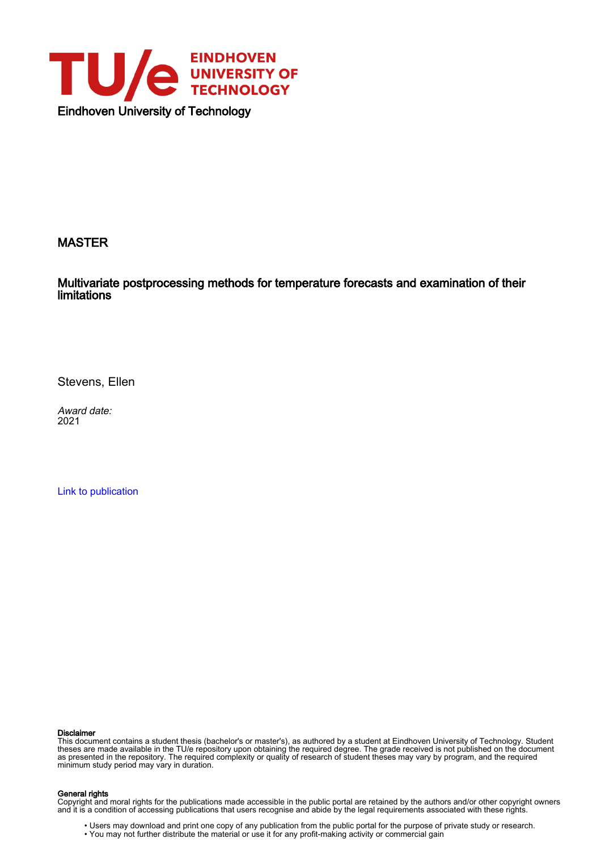

## MASTER

Multivariate postprocessing methods for temperature forecasts and examination of their limitations

Stevens, Ellen

Award date: 2021

[Link to publication](https://research.tue.nl/en/studentTheses/9ca06077-e12b-461b-863e-84f13df1bdfd)

#### Disclaimer

This document contains a student thesis (bachelor's or master's), as authored by a student at Eindhoven University of Technology. Student theses are made available in the TU/e repository upon obtaining the required degree. The grade received is not published on the document as presented in the repository. The required complexity or quality of research of student theses may vary by program, and the required minimum study period may vary in duration.

#### General rights

Copyright and moral rights for the publications made accessible in the public portal are retained by the authors and/or other copyright owners and it is a condition of accessing publications that users recognise and abide by the legal requirements associated with these rights.

 • Users may download and print one copy of any publication from the public portal for the purpose of private study or research. • You may not further distribute the material or use it for any profit-making activity or commercial gain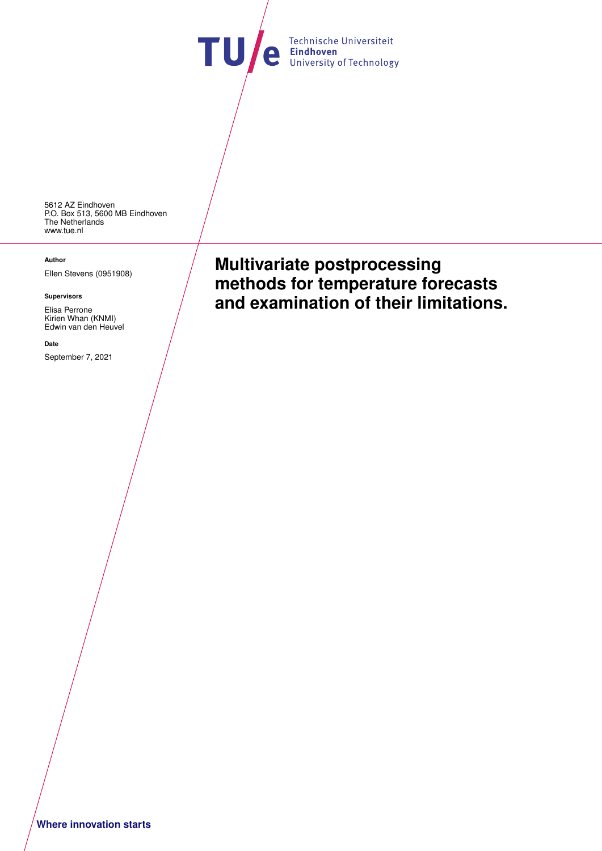Technische Universiteit **TU** e Technische Universiteit

5612 AZ Eindhoven P.O. Box 513, 5600 MB Eindhoven The Netherlands <www.tue.nl>

#### **Author**

Ellen Stevens (0951908)

#### **Supervisors**

Elisa Perrone Kirien Whan (KNMI) Edwin van den Heuvel

#### **Date**

September 7, 2021

**Multivariate postprocessing methods for temperature forecasts and examination of their limitations.**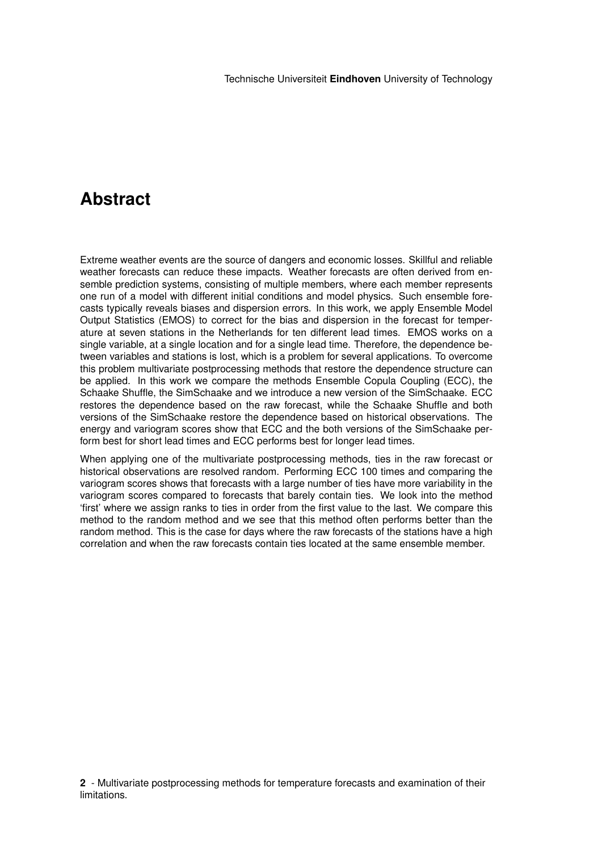# **Abstract**

Extreme weather events are the source of dangers and economic losses. Skillful and reliable weather forecasts can reduce these impacts. Weather forecasts are often derived from ensemble prediction systems, consisting of multiple members, where each member represents one run of a model with different initial conditions and model physics. Such ensemble forecasts typically reveals biases and dispersion errors. In this work, we apply Ensemble Model Output Statistics (EMOS) to correct for the bias and dispersion in the forecast for temperature at seven stations in the Netherlands for ten different lead times. EMOS works on a single variable, at a single location and for a single lead time. Therefore, the dependence between variables and stations is lost, which is a problem for several applications. To overcome this problem multivariate postprocessing methods that restore the dependence structure can be applied. In this work we compare the methods Ensemble Copula Coupling (ECC), the Schaake Shuffle, the SimSchaake and we introduce a new version of the SimSchaake. ECC restores the dependence based on the raw forecast, while the Schaake Shuffle and both versions of the SimSchaake restore the dependence based on historical observations. The energy and variogram scores show that ECC and the both versions of the SimSchaake perform best for short lead times and ECC performs best for longer lead times.

When applying one of the multivariate postprocessing methods, ties in the raw forecast or historical observations are resolved random. Performing ECC 100 times and comparing the variogram scores shows that forecasts with a large number of ties have more variability in the variogram scores compared to forecasts that barely contain ties. We look into the method 'first' where we assign ranks to ties in order from the first value to the last. We compare this method to the random method and we see that this method often performs better than the random method. This is the case for days where the raw forecasts of the stations have a high correlation and when the raw forecasts contain ties located at the same ensemble member.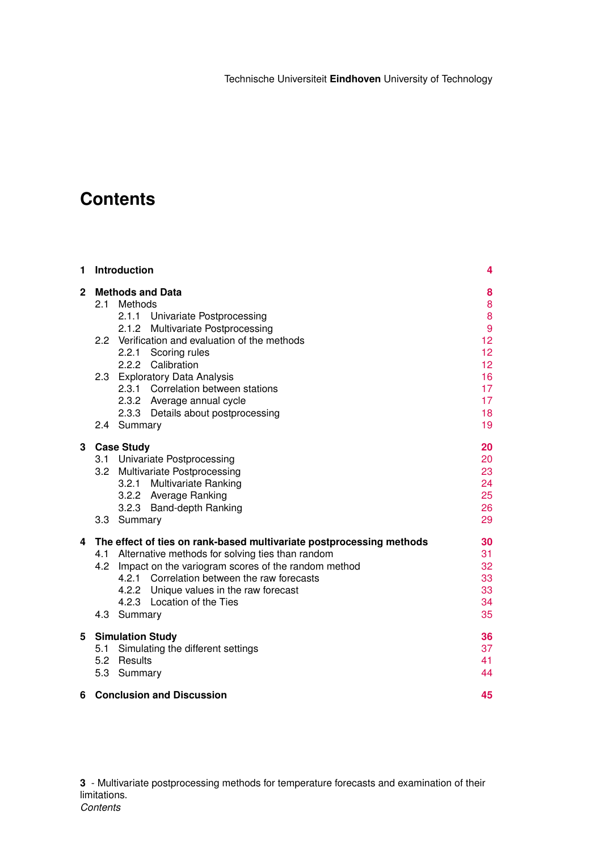# **Contents**

| 1              | <b>Introduction</b><br><b>Methods and Data</b><br>Methods<br>2.1<br>2.1.1 Univariate Postprocessing<br><b>Multivariate Postprocessing</b><br>2.1.2 |                                                                                                                                                                                                                                                                                                                                |                                        |  |  |
|----------------|----------------------------------------------------------------------------------------------------------------------------------------------------|--------------------------------------------------------------------------------------------------------------------------------------------------------------------------------------------------------------------------------------------------------------------------------------------------------------------------------|----------------------------------------|--|--|
| $\overline{2}$ |                                                                                                                                                    |                                                                                                                                                                                                                                                                                                                                |                                        |  |  |
|                |                                                                                                                                                    | 2.2 Verification and evaluation of the methods<br>2.2.1 Scoring rules<br>2.2.2 Calibration                                                                                                                                                                                                                                     | 9<br>12<br>12<br>12 <sup>2</sup>       |  |  |
|                |                                                                                                                                                    | 2.3 Exploratory Data Analysis<br>2.3.1<br>Correlation between stations<br>2.3.2 Average annual cycle<br>2.3.3 Details about postprocessing                                                                                                                                                                                     | 16<br>17<br>17<br>18                   |  |  |
|                | 2.4                                                                                                                                                | Summary                                                                                                                                                                                                                                                                                                                        | 19                                     |  |  |
| 3              |                                                                                                                                                    | <b>Case Study</b><br>3.1 Univariate Postprocessing<br>3.2 Multivariate Postprocessing<br><b>Multivariate Ranking</b><br>3.2.1<br>3.2.2 Average Ranking<br>3.2.3 Band-depth Ranking<br>3.3 Summary                                                                                                                              | 20<br>20<br>23<br>24<br>25<br>26<br>29 |  |  |
| 4              |                                                                                                                                                    | The effect of ties on rank-based multivariate postprocessing methods<br>4.1 Alternative methods for solving ties than random<br>4.2 Impact on the variogram scores of the random method<br>4.2.1 Correlation between the raw forecasts<br>4.2.2 Unique values in the raw forecast<br>4.2.3 Location of the Ties<br>4.3 Summary | 30<br>31<br>32<br>33<br>33<br>34<br>35 |  |  |
| 5              | 5.3                                                                                                                                                | <b>Simulation Study</b><br>5.1 Simulating the different settings<br>5.2 Results<br>Summary                                                                                                                                                                                                                                     | 36<br>37<br>41<br>44                   |  |  |
| 6              | <b>Conclusion and Discussion</b>                                                                                                                   |                                                                                                                                                                                                                                                                                                                                |                                        |  |  |

**3** - Multivariate postprocessing methods for temperature forecasts and examination of their limitations. *Contents*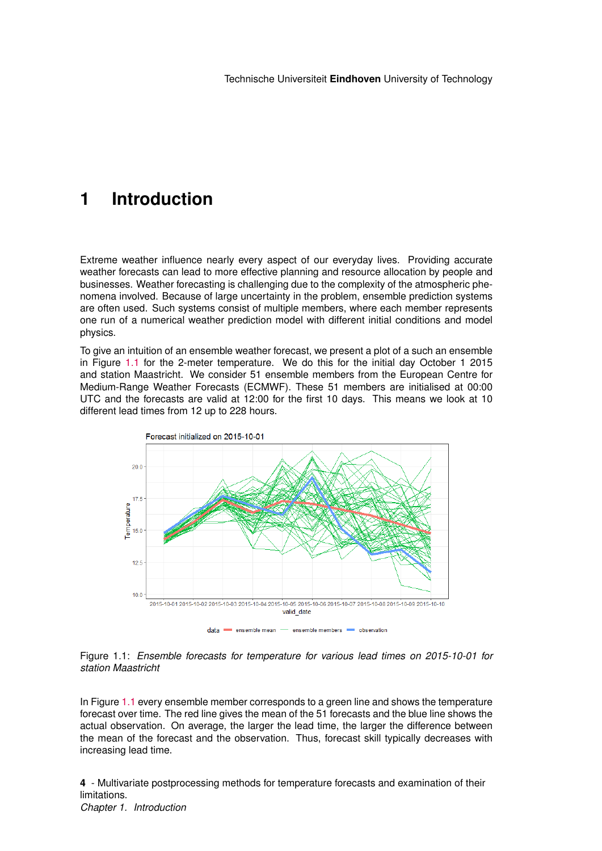# <span id="page-4-0"></span>**1 Introduction**

Extreme weather influence nearly every aspect of our everyday lives. Providing accurate weather forecasts can lead to more effective planning and resource allocation by people and businesses. Weather forecasting is challenging due to the complexity of the atmospheric phenomena involved. Because of large uncertainty in the problem, ensemble prediction systems are often used. Such systems consist of multiple members, where each member represents one run of a numerical weather prediction model with different initial conditions and model physics.

To give an intuition of an ensemble weather forecast, we present a plot of a such an ensemble in Figure [1.1](#page-4-1) for the 2-meter temperature. We do this for the initial day October 1 2015 and station Maastricht. We consider 51 ensemble members from the European Centre for Medium-Range Weather Forecasts (ECMWF). These 51 members are initialised at 00:00 UTC and the forecasts are valid at 12:00 for the first 10 days. This means we look at 10 different lead times from 12 up to 228 hours.

<span id="page-4-1"></span>



In Figure [1.1](#page-4-1) every ensemble member corresponds to a green line and shows the temperature forecast over time. The red line gives the mean of the 51 forecasts and the blue line shows the actual observation. On average, the larger the lead time, the larger the difference between the mean of the forecast and the observation. Thus, forecast skill typically decreases with increasing lead time.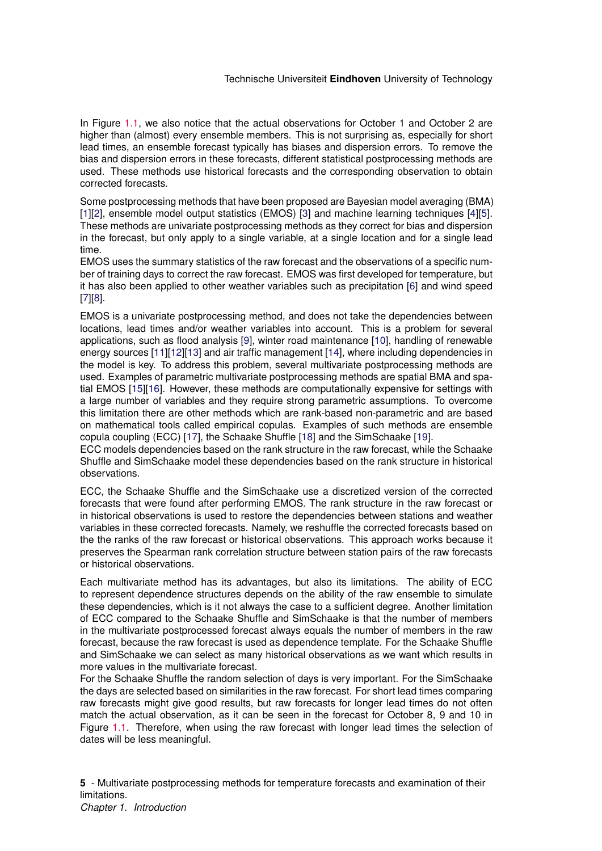In Figure [1.1,](#page-4-1) we also notice that the actual observations for October 1 and October 2 are higher than (almost) every ensemble members. This is not surprising as, especially for short lead times, an ensemble forecast typically has biases and dispersion errors. To remove the bias and dispersion errors in these forecasts, different statistical postprocessing methods are used. These methods use historical forecasts and the corresponding observation to obtain corrected forecasts.

Some postprocessing methods that have been proposed are Bayesian model averaging (BMA) [\[1\]](#page-48-0)[\[2\]](#page-48-1), ensemble model output statistics (EMOS) [\[3\]](#page-48-2) and machine learning techniques [\[4\]](#page-48-3)[\[5\]](#page-48-4). These methods are univariate postprocessing methods as they correct for bias and dispersion in the forecast, but only apply to a single variable, at a single location and for a single lead time.

EMOS uses the summary statistics of the raw forecast and the observations of a specific number of training days to correct the raw forecast. EMOS was first developed for temperature, but it has also been applied to other weather variables such as precipitation [\[6\]](#page-48-5) and wind speed [\[7\]](#page-48-6)[\[8\]](#page-48-7).

EMOS is a univariate postprocessing method, and does not take the dependencies between locations, lead times and/or weather variables into account. This is a problem for several applications, such as flood analysis [\[9\]](#page-48-8), winter road maintenance [\[10\]](#page-48-9), handling of renewable energy sources [\[11\]](#page-48-10)[\[12\]](#page-48-11)[\[13\]](#page-49-0) and air traffic management [\[14\]](#page-49-1), where including dependencies in the model is key. To address this problem, several multivariate postprocessing methods are used. Examples of parametric multivariate postprocessing methods are spatial BMA and spatial EMOS [\[15\]](#page-49-2)[\[16\]](#page-49-3). However, these methods are computationally expensive for settings with a large number of variables and they require strong parametric assumptions. To overcome this limitation there are other methods which are rank-based non-parametric and are based on mathematical tools called empirical copulas. Examples of such methods are ensemble copula coupling (ECC) [\[17\]](#page-49-4), the Schaake Shuffle [\[18\]](#page-49-5) and the SimSchaake [\[19\]](#page-49-6).

ECC models dependencies based on the rank structure in the raw forecast, while the Schaake Shuffle and SimSchaake model these dependencies based on the rank structure in historical observations.

ECC, the Schaake Shuffle and the SimSchaake use a discretized version of the corrected forecasts that were found after performing EMOS. The rank structure in the raw forecast or in historical observations is used to restore the dependencies between stations and weather variables in these corrected forecasts. Namely, we reshuffle the corrected forecasts based on the the ranks of the raw forecast or historical observations. This approach works because it preserves the Spearman rank correlation structure between station pairs of the raw forecasts or historical observations.

Each multivariate method has its advantages, but also its limitations. The ability of ECC to represent dependence structures depends on the ability of the raw ensemble to simulate these dependencies, which is it not always the case to a sufficient degree. Another limitation of ECC compared to the Schaake Shuffle and SimSchaake is that the number of members in the multivariate postprocessed forecast always equals the number of members in the raw forecast, because the raw forecast is used as dependence template. For the Schaake Shuffle and SimSchaake we can select as many historical observations as we want which results in more values in the multivariate forecast.

For the Schaake Shuffle the random selection of days is very important. For the SimSchaake the days are selected based on similarities in the raw forecast. For short lead times comparing raw forecasts might give good results, but raw forecasts for longer lead times do not often match the actual observation, as it can be seen in the forecast for October 8, 9 and 10 in Figure [1.1.](#page-4-1) Therefore, when using the raw forecast with longer lead times the selection of dates will be less meaningful.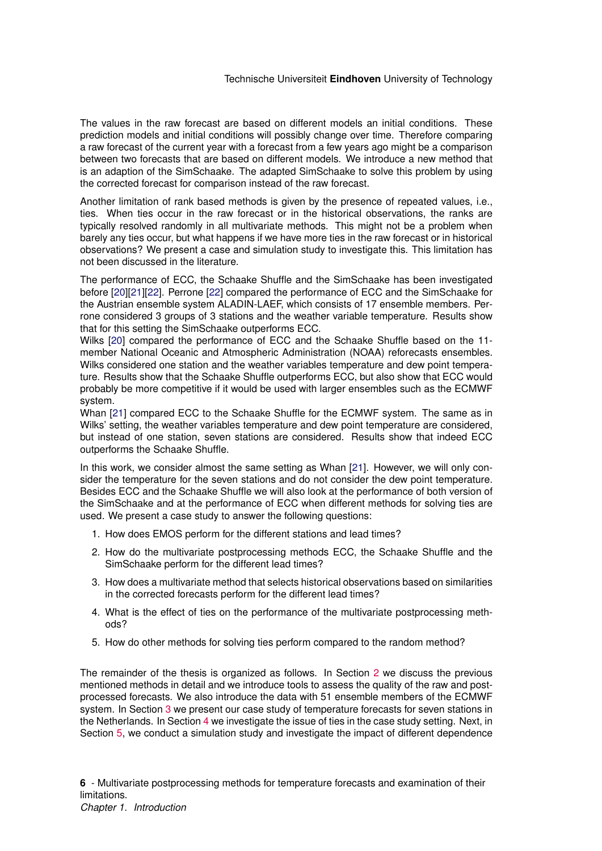The values in the raw forecast are based on different models an initial conditions. These prediction models and initial conditions will possibly change over time. Therefore comparing a raw forecast of the current year with a forecast from a few years ago might be a comparison between two forecasts that are based on different models. We introduce a new method that is an adaption of the SimSchaake. The adapted SimSchaake to solve this problem by using the corrected forecast for comparison instead of the raw forecast.

Another limitation of rank based methods is given by the presence of repeated values, i.e., ties. When ties occur in the raw forecast or in the historical observations, the ranks are typically resolved randomly in all multivariate methods. This might not be a problem when barely any ties occur, but what happens if we have more ties in the raw forecast or in historical observations? We present a case and simulation study to investigate this. This limitation has not been discussed in the literature.

The performance of ECC, the Schaake Shuffle and the SimSchaake has been investigated before [\[20\]](#page-49-7)[\[21\]](#page-49-8)[\[22\]](#page-49-9). Perrone [\[22\]](#page-49-9) compared the performance of ECC and the SimSchaake for the Austrian ensemble system ALADIN-LAEF, which consists of 17 ensemble members. Perrone considered 3 groups of 3 stations and the weather variable temperature. Results show that for this setting the SimSchaake outperforms ECC.

Wilks [\[20\]](#page-49-7) compared the performance of ECC and the Schaake Shuffle based on the 11 member National Oceanic and Atmospheric Administration (NOAA) reforecasts ensembles. Wilks considered one station and the weather variables temperature and dew point temperature. Results show that the Schaake Shuffle outperforms ECC, but also show that ECC would probably be more competitive if it would be used with larger ensembles such as the ECMWF system.

Whan [\[21\]](#page-49-8) compared ECC to the Schaake Shuffle for the ECMWF system. The same as in Wilks' setting, the weather variables temperature and dew point temperature are considered, but instead of one station, seven stations are considered. Results show that indeed ECC outperforms the Schaake Shuffle.

In this work, we consider almost the same setting as Whan [\[21\]](#page-49-8). However, we will only consider the temperature for the seven stations and do not consider the dew point temperature. Besides ECC and the Schaake Shuffle we will also look at the performance of both version of the SimSchaake and at the performance of ECC when different methods for solving ties are used. We present a case study to answer the following questions:

- 1. How does EMOS perform for the different stations and lead times?
- 2. How do the multivariate postprocessing methods ECC, the Schaake Shuffle and the SimSchaake perform for the different lead times?
- 3. How does a multivariate method that selects historical observations based on similarities in the corrected forecasts perform for the different lead times?
- 4. What is the effect of ties on the performance of the multivariate postprocessing methods?
- 5. How do other methods for solving ties perform compared to the random method?

The remainder of the thesis is organized as follows. In Section [2](#page-8-0) we discuss the previous mentioned methods in detail and we introduce tools to assess the quality of the raw and postprocessed forecasts. We also introduce the data with 51 ensemble members of the ECMWF system. In Section [3](#page-20-0) we present our case study of temperature forecasts for seven stations in the Netherlands. In Section [4](#page-30-0) we investigate the issue of ties in the case study setting. Next, in Section [5,](#page-36-0) we conduct a simulation study and investigate the impact of different dependence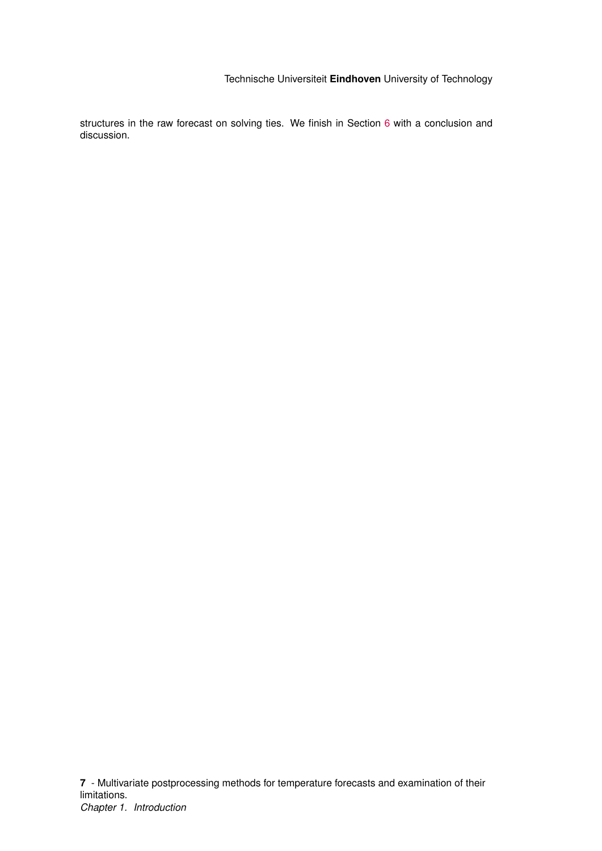structures in the raw forecast on solving ties. We finish in Section [6](#page-45-0) with a conclusion and discussion.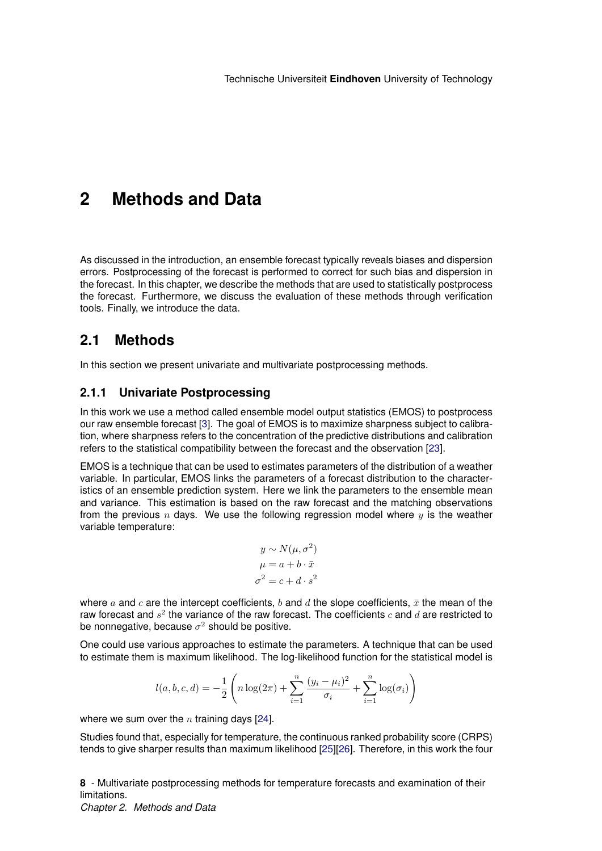# <span id="page-8-0"></span>**2 Methods and Data**

As discussed in the introduction, an ensemble forecast typically reveals biases and dispersion errors. Postprocessing of the forecast is performed to correct for such bias and dispersion in the forecast. In this chapter, we describe the methods that are used to statistically postprocess the forecast. Furthermore, we discuss the evaluation of these methods through verification tools. Finally, we introduce the data.

## <span id="page-8-1"></span>**2.1 Methods**

In this section we present univariate and multivariate postprocessing methods.

## <span id="page-8-2"></span>**2.1.1 Univariate Postprocessing**

In this work we use a method called ensemble model output statistics (EMOS) to postprocess our raw ensemble forecast [\[3\]](#page-48-2). The goal of EMOS is to maximize sharpness subject to calibration, where sharpness refers to the concentration of the predictive distributions and calibration refers to the statistical compatibility between the forecast and the observation [\[23\]](#page-49-10).

EMOS is a technique that can be used to estimates parameters of the distribution of a weather variable. In particular, EMOS links the parameters of a forecast distribution to the characteristics of an ensemble prediction system. Here we link the parameters to the ensemble mean and variance. This estimation is based on the raw forecast and the matching observations from the previous n days. We use the following regression model where  $y$  is the weather variable temperature:

$$
y \sim N(\mu, \sigma^2)
$$

$$
\mu = a + b \cdot \bar{x}
$$

$$
\sigma^2 = c + d \cdot s^2
$$

where a and c are the intercept coefficients, b and d the slope coefficients,  $\bar{x}$  the mean of the raw forecast and  $s^2$  the variance of the raw forecast. The coefficients  $c$  and  $d$  are restricted to be nonnegative, because  $\sigma^2$  should be positive.

One could use various approaches to estimate the parameters. A technique that can be used to estimate them is maximum likelihood. The log-likelihood function for the statistical model is

$$
l(a, b, c, d) = -\frac{1}{2} \left( n \log(2\pi) + \sum_{i=1}^{n} \frac{(y_i - \mu_i)^2}{\sigma_i} + \sum_{i=1}^{n} \log(\sigma_i) \right)
$$

where we sum over the  $n$  training days [\[24\]](#page-49-11).

Studies found that, especially for temperature, the continuous ranked probability score (CRPS) tends to give sharper results than maximum likelihood [\[25\]](#page-49-12)[\[26\]](#page-49-13). Therefore, in this work the four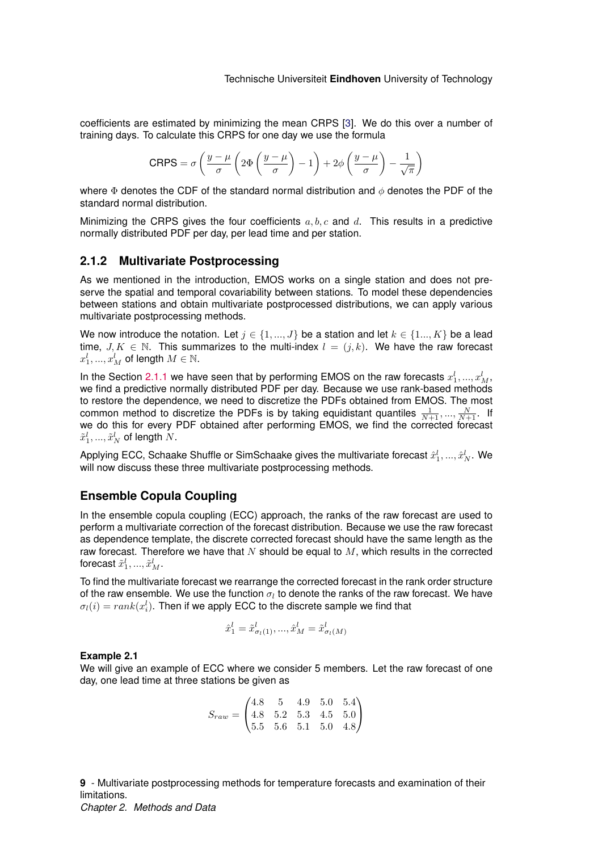coefficients are estimated by minimizing the mean CRPS [\[3\]](#page-48-2). We do this over a number of training days. To calculate this CRPS for one day we use the formula

$$
CRPS = \sigma \left( \frac{y - \mu}{\sigma} \left( 2\Phi \left( \frac{y - \mu}{\sigma} \right) - 1 \right) + 2\phi \left( \frac{y - \mu}{\sigma} \right) - \frac{1}{\sqrt{\pi}} \right)
$$

where  $\Phi$  denotes the CDF of the standard normal distribution and  $\phi$  denotes the PDF of the standard normal distribution.

Minimizing the CRPS gives the four coefficients  $a, b, c$  and d. This results in a predictive normally distributed PDF per day, per lead time and per station.

#### <span id="page-9-0"></span>**2.1.2 Multivariate Postprocessing**

As we mentioned in the introduction, EMOS works on a single station and does not preserve the spatial and temporal covariability between stations. To model these dependencies between stations and obtain multivariate postprocessed distributions, we can apply various multivariate postprocessing methods.

We now introduce the notation. Let  $j \in \{1, ..., J\}$  be a station and let  $k \in \{1, ..., K\}$  be a lead time,  $J, K \in \mathbb{N}$ . This summarizes to the multi-index  $l = (j, k)$ . We have the raw forecast  $x_1^l, ..., x_M^l$  of length  $M \in \mathbb{N}$ .

In the Section [2.1.1](#page-8-2) we have seen that by performing EMOS on the raw forecasts  $x_1^l,...,x_M^l$ , we find a predictive normally distributed PDF per day. Because we use rank-based methods to restore the dependence, we need to discretize the PDFs obtained from EMOS. The most common method to discretize the PDFs is by taking equidistant quantiles  $\frac{1}{N+1},...,\frac{N}{N+1}$ . If we do this for every PDF obtained after performing EMOS, we find the corrected forecast  $\tilde{x}_1^l,...,\tilde{x}_N^l$  of length  $N.$ 

Applying ECC, Schaake Shuffle or SimSchaake gives the multivariate forecast  $\hat{x}_1^l,...,\hat{x}_N^l.$  We will now discuss these three multivariate postprocessing methods.

### **Ensemble Copula Coupling**

In the ensemble copula coupling (ECC) approach, the ranks of the raw forecast are used to perform a multivariate correction of the forecast distribution. Because we use the raw forecast as dependence template, the discrete corrected forecast should have the same length as the raw forecast. Therefore we have that  $N$  should be equal to  $M$ , which results in the corrected forecast  $\tilde{x}_1^l,...,\tilde{x}_M^l$  .

To find the multivariate forecast we rearrange the corrected forecast in the rank order structure of the raw ensemble. We use the function  $\sigma_l$  to denote the ranks of the raw forecast. We have  $\sigma_l(i) = rank(x_i^l).$  Then if we apply ECC to the discrete sample we find that

$$
\hat{x}_1^l = \tilde{x}_{\sigma_l(1)}^l, ..., \hat{x}_M^l = \tilde{x}_{\sigma_l(M)}^l
$$

#### **Example 2.1**

We will give an example of ECC where we consider 5 members. Let the raw forecast of one day, one lead time at three stations be given as

$$
S_{raw} = \begin{pmatrix} 4.8 & 5 & 4.9 & 5.0 & 5.4 \\ 4.8 & 5.2 & 5.3 & 4.5 & 5.0 \\ 5.5 & 5.6 & 5.1 & 5.0 & 4.8 \end{pmatrix}
$$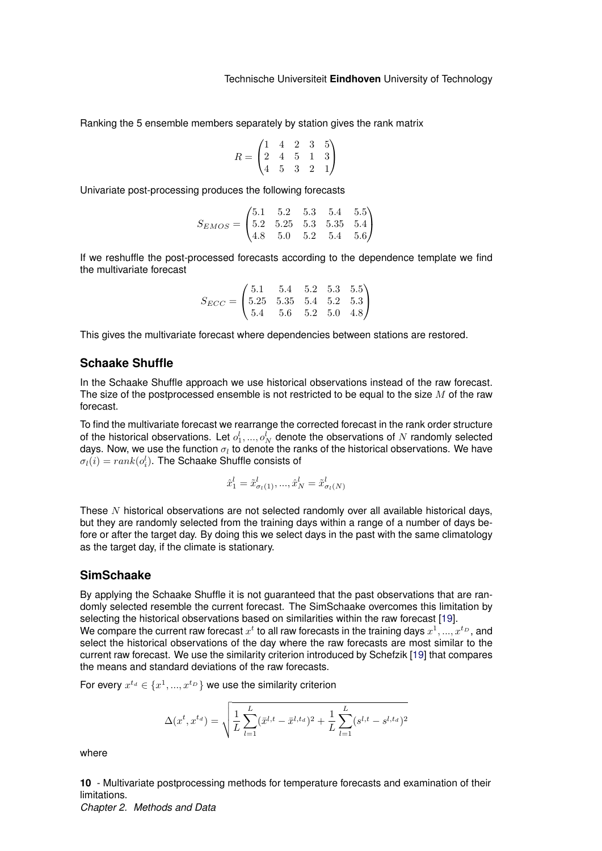Ranking the 5 ensemble members separately by station gives the rank matrix

$$
R = \begin{pmatrix} 1 & 4 & 2 & 3 & 5 \\ 2 & 4 & 5 & 1 & 3 \\ 4 & 5 & 3 & 2 & 1 \end{pmatrix}
$$

Univariate post-processing produces the following forecasts

$$
S_{EMOS} = \begin{pmatrix} 5.1 & 5.2 & 5.3 & 5.4 & 5.5 \\ 5.2 & 5.25 & 5.3 & 5.35 & 5.4 \\ 4.8 & 5.0 & 5.2 & 5.4 & 5.6 \end{pmatrix}
$$

If we reshuffle the post-processed forecasts according to the dependence template we find the multivariate forecast

$$
S_{ECC} = \begin{pmatrix} 5.1 & 5.4 & 5.2 & 5.3 & 5.5 \\ 5.25 & 5.35 & 5.4 & 5.2 & 5.3 \\ 5.4 & 5.6 & 5.2 & 5.0 & 4.8 \end{pmatrix}
$$

This gives the multivariate forecast where dependencies between stations are restored.

### <span id="page-10-0"></span>**Schaake Shuffle**

In the Schaake Shuffle approach we use historical observations instead of the raw forecast. The size of the postprocessed ensemble is not restricted to be equal to the size  $M$  of the raw forecast.

To find the multivariate forecast we rearrange the corrected forecast in the rank order structure of the historical observations. Let  $o_1^l,...,o_N^l$  denote the observations of  $N$  randomly selected days. Now, we use the function  $\sigma_l$  to denote the ranks of the historical observations. We have  $\sigma_l(i) = rank(o_i^l).$  The Schaake Shuffle consists of

$$
\hat{x}_1^l = \tilde{x}_{\sigma_l(1)}^l, ..., \hat{x}_N^l = \tilde{x}_{\sigma_l(N)}^l
$$

These N historical observations are not selected randomly over all available historical days, but they are randomly selected from the training days within a range of a number of days before or after the target day. By doing this we select days in the past with the same climatology as the target day, if the climate is stationary.

#### <span id="page-10-1"></span>**SimSchaake**

By applying the Schaake Shuffle it is not guaranteed that the past observations that are randomly selected resemble the current forecast. The SimSchaake overcomes this limitation by selecting the historical observations based on similarities within the raw forecast [\[19\]](#page-49-6). We compare the current raw forecast  $x^t$  to all raw forecasts in the training days  $x^1,...,x^{t_D},$  and

select the historical observations of the day where the raw forecasts are most similar to the current raw forecast. We use the similarity criterion introduced by Schefzik [\[19\]](#page-49-6) that compares the means and standard deviations of the raw forecasts.

For every  $x^{t_d} \in \{x^1,...,x^{t_D}\}$  we use the similarity criterion

$$
\Delta(x^t, x^{t_d}) = \sqrt{\frac{1}{L} \sum_{l=1}^{L} (\bar{x}^{l,t} - \bar{x}^{l,t_d})^2 + \frac{1}{L} \sum_{l=1}^{L} (s^{l,t} - s^{l,t_d})^2}
$$

where

**10** - Multivariate postprocessing methods for temperature forecasts and examination of their limitations.

*Chapter 2. Methods and Data*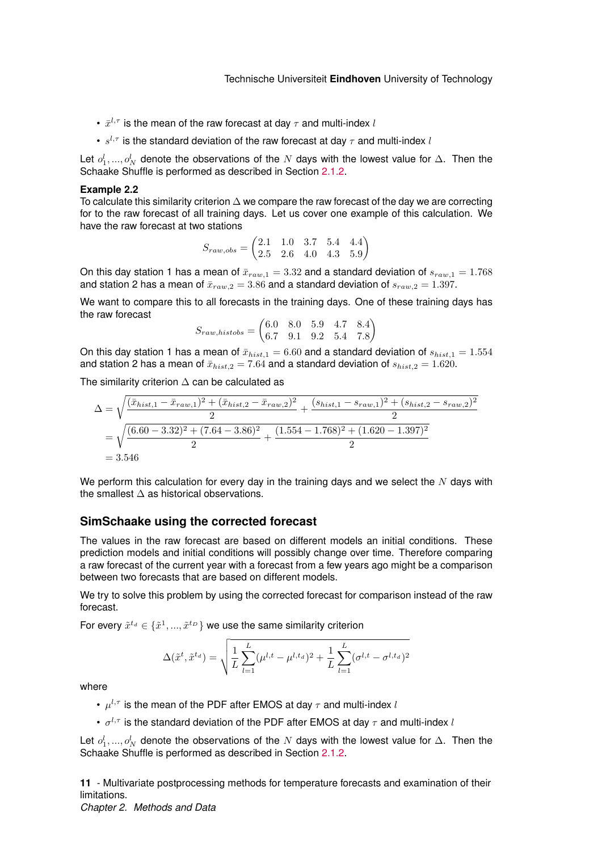- $\bar{x}^{l,\tau}$  is the mean of the raw forecast at day  $\tau$  and multi-index  $l$
- $s^{l,\tau}$  is the standard deviation of the raw forecast at day  $\tau$  and multi-index  $l$

Let  $o_1^l, ..., o_N^l$  denote the observations of the  $N$  days with the lowest value for  $\Delta$ . Then the Schaake Shuffle is performed as described in Section [2.1.2.](#page-10-0)

#### **Example 2.2**

To calculate this similarity criterion  $\Delta$  we compare the raw forecast of the day we are correcting for to the raw forecast of all training days. Let us cover one example of this calculation. We have the raw forecast at two stations

$$
S_{raw,obs} = \begin{pmatrix} 2.1 & 1.0 & 3.7 & 5.4 & 4.4 \\ 2.5 & 2.6 & 4.0 & 4.3 & 5.9 \end{pmatrix}
$$

On this day station 1 has a mean of  $\bar{x}_{raw,1} = 3.32$  and a standard deviation of  $s_{raw,1} = 1.768$ and station 2 has a mean of  $\bar{x}_{raw,2} = 3.86$  and a standard deviation of  $s_{raw,2} = 1.397$ .

We want to compare this to all forecasts in the training days. One of these training days has the raw forecast

$$
S_{raw, histobs} = \begin{pmatrix} 6.0 & 8.0 & 5.9 & 4.7 & 8.4 \\ 6.7 & 9.1 & 9.2 & 5.4 & 7.8 \end{pmatrix}
$$

On this day station 1 has a mean of  $\bar{x}_{hist,1} = 6.60$  and a standard deviation of  $s_{hist,1} = 1.554$ and station 2 has a mean of  $\bar{x}_{hist,2} = 7.64$  and a standard deviation of  $s_{hist,2} = 1.620$ .

The similarity criterion  $\Delta$  can be calculated as

$$
\Delta = \sqrt{\frac{(\bar{x}_{hist,1} - \bar{x}_{raw,1})^2 + (\bar{x}_{hist,2} - \bar{x}_{raw,2})^2}{2} + \frac{(s_{hist,1} - s_{raw,1})^2 + (s_{hist,2} - s_{raw,2})^2}{2}}
$$
  
=  $\sqrt{\frac{(6.60 - 3.32)^2 + (7.64 - 3.86)^2}{2} + \frac{(1.554 - 1.768)^2 + (1.620 - 1.397)^2}{2}}$   
= 3.546

We perform this calculation for every day in the training days and we select the  $N$  days with the smallest ∆ as historical observations.

#### **SimSchaake using the corrected forecast**

The values in the raw forecast are based on different models an initial conditions. These prediction models and initial conditions will possibly change over time. Therefore comparing a raw forecast of the current year with a forecast from a few years ago might be a comparison between two forecasts that are based on different models.

We try to solve this problem by using the corrected forecast for comparison instead of the raw forecast.

For every  $\tilde{x}^{t_d} \in \{\tilde{x}^1,...,\tilde{x}^{t_D}\}$  we use the same similarity criterion

$$
\Delta(\tilde{x}^t, \tilde{x}^{t_d}) = \sqrt{\frac{1}{L} \sum_{l=1}^{L} (\mu^{l,t} - \mu^{l,t_d})^2 + \frac{1}{L} \sum_{l=1}^{L} (\sigma^{l,t} - \sigma^{l,t_d})^2}
$$

where

- $\mu^{l,\tau}$  is the mean of the PDF after EMOS at day  $\tau$  and multi-index  $l$
- $\sigma^{l,\tau}$  is the standard deviation of the PDF after EMOS at day  $\tau$  and multi-index  $l$

Let  $o_1^l, ..., o_N^l$  denote the observations of the  $N$  days with the lowest value for  $\Delta$ . Then the Schaake Shuffle is performed as described in Section [2.1.2.](#page-10-0)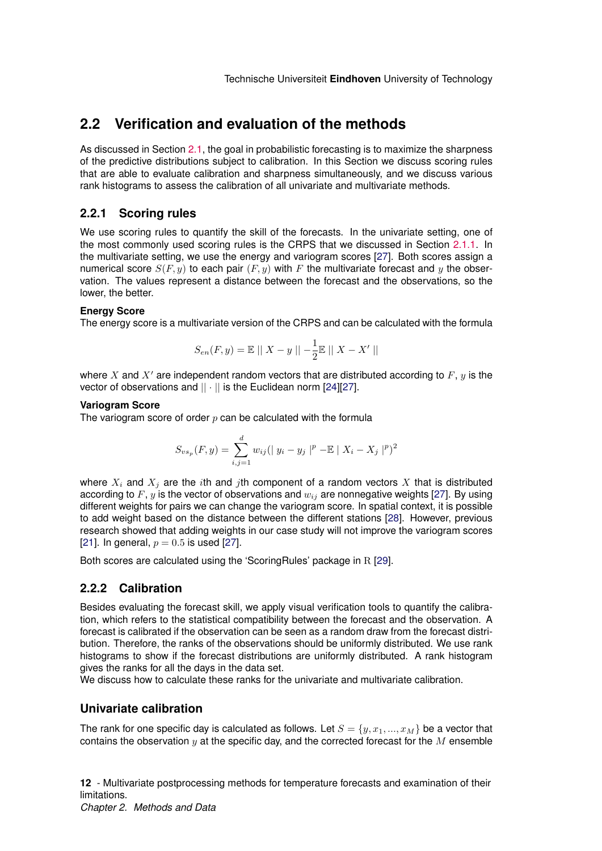## <span id="page-12-0"></span>**2.2 Verification and evaluation of the methods**

As discussed in Section [2.1,](#page-8-1) the goal in probabilistic forecasting is to maximize the sharpness of the predictive distributions subject to calibration. In this Section we discuss scoring rules that are able to evaluate calibration and sharpness simultaneously, and we discuss various rank histograms to assess the calibration of all univariate and multivariate methods.

### <span id="page-12-1"></span>**2.2.1 Scoring rules**

We use scoring rules to quantify the skill of the forecasts. In the univariate setting, one of the most commonly used scoring rules is the CRPS that we discussed in Section [2.1.1.](#page-8-2) In the multivariate setting, we use the energy and variogram scores [\[27\]](#page-49-14). Both scores assign a numerical score  $S(F, y)$  to each pair  $(F, y)$  with F the multivariate forecast and y the observation. The values represent a distance between the forecast and the observations, so the lower, the better.

#### **Energy Score**

The energy score is a multivariate version of the CRPS and can be calculated with the formula

$$
S_{en}(F, y) = \mathbb{E} \mid \| X - y \| - \frac{1}{2} \mathbb{E} \mid \| X - X' \|
$$

where X and  $X'$  are independent random vectors that are distributed according to  $F$ , y is the vector of observations and  $|| \cdot ||$  is the Euclidean norm [\[24\]](#page-49-11)[\[27\]](#page-49-14).

#### **Variogram Score**

The variogram score of order  $p$  can be calculated with the formula

$$
S_{vs_p}(F, y) = \sum_{i,j=1}^{d} w_{ij} (|y_i - y_j|^p - \mathbb{E} |X_i - X_j|^p)^2
$$

where  $X_i$  and  $X_j$  are the *i*th and *j*th component of a random vectors X that is distributed according to F, y is the vector of observations and  $w_{ij}$  are nonnegative weights [\[27\]](#page-49-14). By using different weights for pairs we can change the variogram score. In spatial context, it is possible to add weight based on the distance between the different stations [\[28\]](#page-50-0). However, previous research showed that adding weights in our case study will not improve the variogram scores [\[21\]](#page-49-8). In general,  $p = 0.5$  is used [\[27\]](#page-49-14).

Both scores are calculated using the 'ScoringRules' package in R [\[29\]](#page-50-1).

## <span id="page-12-2"></span>**2.2.2 Calibration**

Besides evaluating the forecast skill, we apply visual verification tools to quantify the calibration, which refers to the statistical compatibility between the forecast and the observation. A forecast is calibrated if the observation can be seen as a random draw from the forecast distribution. Therefore, the ranks of the observations should be uniformly distributed. We use rank histograms to show if the forecast distributions are uniformly distributed. A rank histogram gives the ranks for all the days in the data set.

We discuss how to calculate these ranks for the univariate and multivariate calibration.

## **Univariate calibration**

The rank for one specific day is calculated as follows. Let  $S = \{y, x_1, ..., x_M\}$  be a vector that contains the observation  $y$  at the specific day, and the corrected forecast for the  $M$  ensemble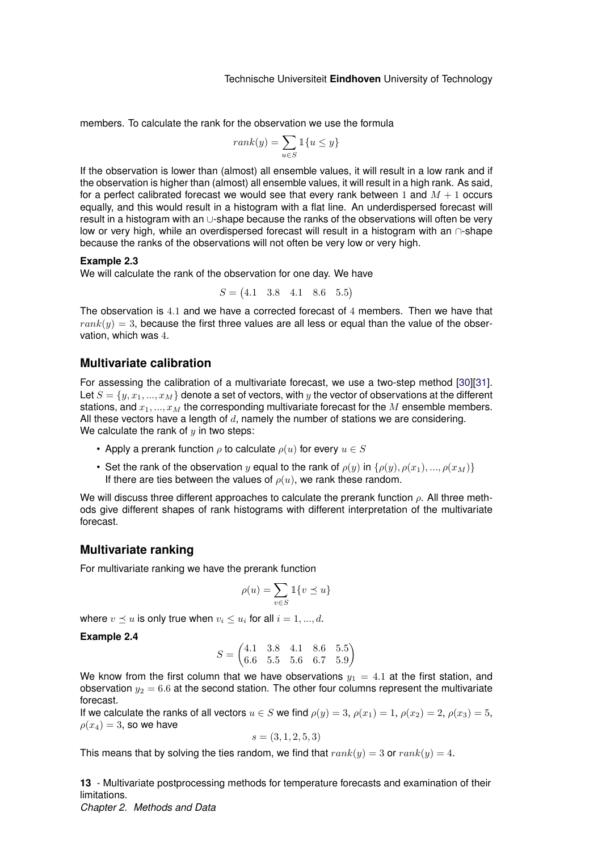members. To calculate the rank for the observation we use the formula

$$
rank(y) = \sum_{u \in S} \mathbb{1}\{u \le y\}
$$

If the observation is lower than (almost) all ensemble values, it will result in a low rank and if the observation is higher than (almost) all ensemble values, it will result in a high rank. As said, for a perfect calibrated forecast we would see that every rank between 1 and  $M + 1$  occurs equally, and this would result in a histogram with a flat line. An underdispersed forecast will result in a histogram with an ∪-shape because the ranks of the observations will often be very low or very high, while an overdispersed forecast will result in a histogram with an ∩-shape because the ranks of the observations will not often be very low or very high.

#### **Example 2.3**

We will calculate the rank of the observation for one day. We have

$$
S = (4.1 \quad 3.8 \quad 4.1 \quad 8.6 \quad 5.5)
$$

The observation is 4.1 and we have a corrected forecast of 4 members. Then we have that  $rank(y) = 3$ , because the first three values are all less or equal than the value of the observation, which was 4.

#### <span id="page-13-0"></span>**Multivariate calibration**

For assessing the calibration of a multivariate forecast, we use a two-step method [\[30\]](#page-50-2)[\[31\]](#page-50-3). Let  $S = \{y, x_1, ..., x_M\}$  denote a set of vectors, with y the vector of observations at the different stations, and  $x_1, ..., x_M$  the corresponding multivariate forecast for the M ensemble members. All these vectors have a length of  $d$ , namely the number of stations we are considering. We calculate the rank of  $y$  in two steps:

- Apply a prerank function  $\rho$  to calculate  $\rho(u)$  for every  $u \in S$
- Set the rank of the observation y equal to the rank of  $\rho(y)$  in  $\{\rho(y), \rho(x_1), ..., \rho(x_M)\}\$ If there are ties between the values of  $\rho(u)$ , we rank these random.

We will discuss three different approaches to calculate the prerank function  $\rho$ . All three methods give different shapes of rank histograms with different interpretation of the multivariate forecast.

#### <span id="page-13-1"></span>**Multivariate ranking**

For multivariate ranking we have the prerank function

$$
\rho(u) = \sum_{v \in S} \mathbbm{1}\{v \preceq u\}
$$

where  $v \preceq u$  is only true when  $v_i \leq u_i$  for all  $i=1,...,d.$ 

#### **Example 2.4**

$$
S = \begin{pmatrix} 4.1 & 3.8 & 4.1 & 8.6 & 5.5 \\ 6.6 & 5.5 & 5.6 & 6.7 & 5.9 \end{pmatrix}
$$

We know from the first column that we have observations  $y_1 = 4.1$  at the first station, and observation  $y_2 = 6.6$  at the second station. The other four columns represent the multivariate forecast.

If we calculate the ranks of all vectors  $u \in S$  we find  $\rho(y) = 3$ ,  $\rho(x_1) = 1$ ,  $\rho(x_2) = 2$ ,  $\rho(x_3) = 5$ ,  $\rho(x_4) = 3$ , so we have

$$
s = (3, 1, 2, 5, 3)
$$

This means that by solving the ties random, we find that  $rank(y) = 3$  or  $rank(y) = 4$ .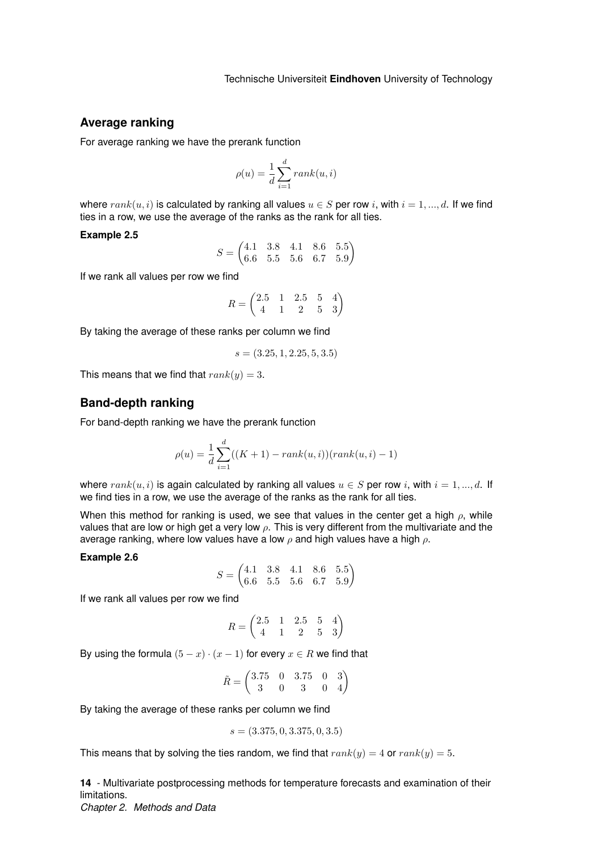### <span id="page-14-0"></span>**Average ranking**

For average ranking we have the prerank function

$$
\rho(u) = \frac{1}{d} \sum_{i=1}^{d} rank(u, i)
$$

where  $rank(u, i)$  is calculated by ranking all values  $u \in S$  per row i, with  $i = 1, ..., d$ . If we find ties in a row, we use the average of the ranks as the rank for all ties.

#### **Example 2.5**

 $S = \begin{pmatrix} 4.1 & 3.8 & 4.1 & 8.6 & 5.5 \\ 6.6 & 5.5 & 5.6 & 6.7 & 5.9 \end{pmatrix}$ 6.6 5.5 5.6 6.7 5.9  $\setminus$ 

If we rank all values per row we find

$$
R = \begin{pmatrix} 2.5 & 1 & 2.5 & 5 & 4 \\ 4 & 1 & 2 & 5 & 3 \end{pmatrix}
$$

By taking the average of these ranks per column we find

$$
s = (3.25, 1, 2.25, 5, 3.5)
$$

This means that we find that  $rank(y) = 3$ .

### <span id="page-14-1"></span>**Band-depth ranking**

For band-depth ranking we have the prerank function

$$
\rho(u) = \frac{1}{d} \sum_{i=1}^{d} ((K+1) - rank(u, i))(rank(u, i) - 1)
$$

where  $rank(u, i)$  is again calculated by ranking all values  $u \in S$  per row i, with  $i = 1, ..., d$ . If we find ties in a row, we use the average of the ranks as the rank for all ties.

When this method for ranking is used, we see that values in the center get a high  $\rho$ , while values that are low or high get a very low  $\rho$ . This is very different from the multivariate and the average ranking, where low values have a low  $\rho$  and high values have a high  $\rho$ .

#### **Example 2.6**

$$
S = \begin{pmatrix} 4.1 & 3.8 & 4.1 & 8.6 & 5.5 \\ 6.6 & 5.5 & 5.6 & 6.7 & 5.9 \end{pmatrix}
$$

If we rank all values per row we find

$$
R = \begin{pmatrix} 2.5 & 1 & 2.5 & 5 & 4 \\ 4 & 1 & 2 & 5 & 3 \end{pmatrix}
$$

By using the formula  $(5 - x) \cdot (x - 1)$  for every  $x \in R$  we find that

$$
\tilde{R} = \begin{pmatrix} 3.75 & 0 & 3.75 & 0 & 3 \\ 3 & 0 & 3 & 0 & 4 \end{pmatrix}
$$

By taking the average of these ranks per column we find

$$
s = (3.375, 0, 3.375, 0, 3.5)
$$

This means that by solving the ties random, we find that  $rank(y) = 4$  or  $rank(y) = 5$ .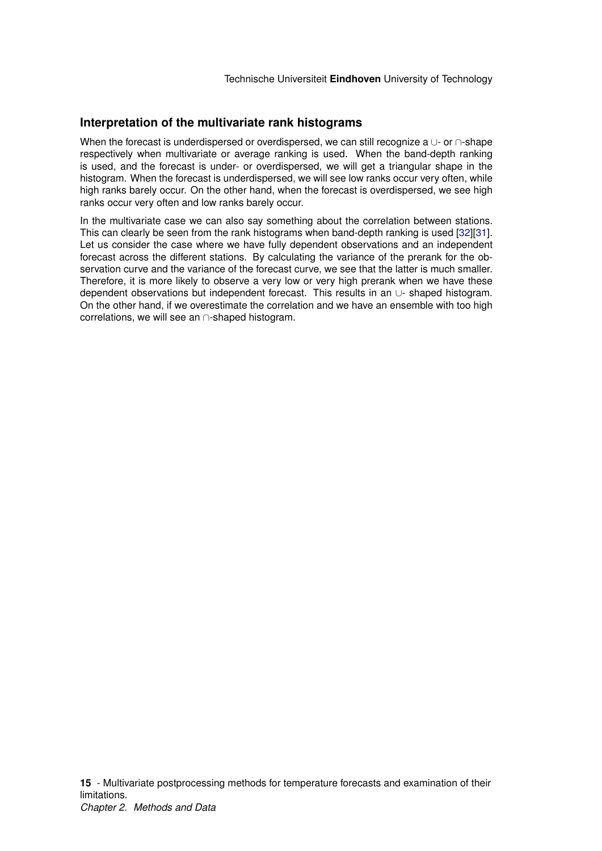## **Interpretation of the multivariate rank histograms**

When the forecast is underdispersed or overdispersed, we can still recognize a ∪- or ∩-shape respectively when multivariate or average ranking is used. When the band-depth ranking is used, and the forecast is under- or overdispersed, we will get a triangular shape in the histogram. When the forecast is underdispersed, we will see low ranks occur very often, while high ranks barely occur. On the other hand, when the forecast is overdispersed, we see high ranks occur very often and low ranks barely occur.

In the multivariate case we can also say something about the correlation between stations. This can clearly be seen from the rank histograms when band-depth ranking is used [\[32\]](#page-50-4)[\[31\]](#page-50-3). Let us consider the case where we have fully dependent observations and an independent forecast across the different stations. By calculating the variance of the prerank for the observation curve and the variance of the forecast curve, we see that the latter is much smaller. Therefore, it is more likely to observe a very low or very high prerank when we have these dependent observations but independent forecast. This results in an ∪- shaped histogram. On the other hand, if we overestimate the correlation and we have an ensemble with too high correlations, we will see an ∩-shaped histogram.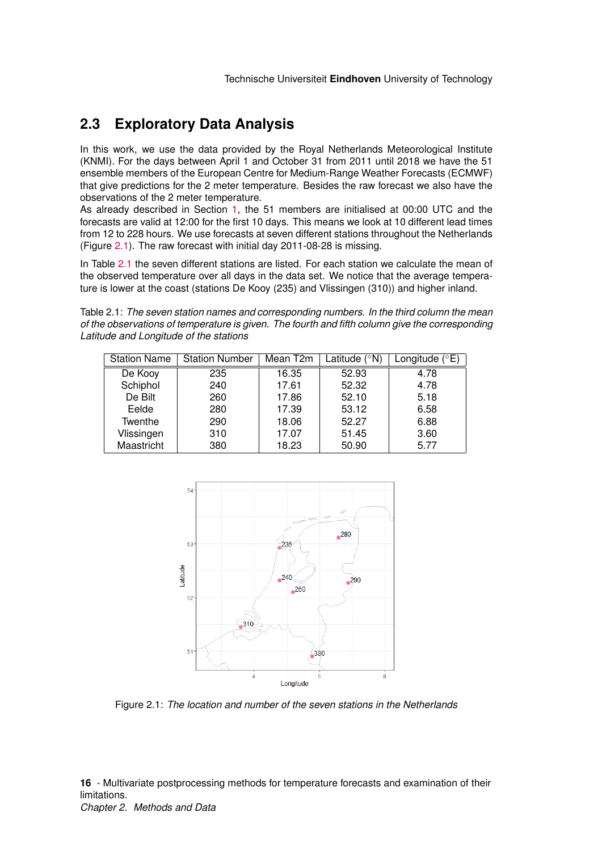## <span id="page-16-0"></span>**2.3 Exploratory Data Analysis**

In this work, we use the data provided by the Royal Netherlands Meteorological Institute (KNMI). For the days between April 1 and October 31 from 2011 until 2018 we have the 51 ensemble members of the European Centre for Medium-Range Weather Forecasts (ECMWF) that give predictions for the 2 meter temperature. Besides the raw forecast we also have the observations of the 2 meter temperature.

As already described in Section [1,](#page-4-0) the 51 members are initialised at 00:00 UTC and the forecasts are valid at 12:00 for the first 10 days. This means we look at 10 different lead times from 12 to 228 hours. We use forecasts at seven different stations throughout the Netherlands (Figure [2.1\)](#page-16-1). The raw forecast with initial day 2011-08-28 is missing.

In Table [2.1](#page-16-2) the seven different stations are listed. For each station we calculate the mean of the observed temperature over all days in the data set. We notice that the average temperature is lower at the coast (stations De Kooy (235) and Vlissingen (310)) and higher inland.

<span id="page-16-2"></span>Table 2.1: *The seven station names and corresponding numbers. In the third column the mean of the observations of temperature is given. The fourth and fifth column give the corresponding Latitude and Longitude of the stations*

| <b>Station Name</b> | <b>Station Number</b> | Mean $T2m$ | Latitude $(°N)$ | Longitude $(^{\circ}E)$ |
|---------------------|-----------------------|------------|-----------------|-------------------------|
| De Kooy             | 235                   | 16.35      | 52.93           | 4.78                    |
| Schiphol            | 240                   | 17.61      | 52.32           | 4.78                    |
| De Bilt             | 260                   | 17.86      | 52.10           | 5.18                    |
| Eelde               | 280                   | 17.39      | 53.12           | 6.58                    |
| Twenthe             | 290                   | 18.06      | 52.27           | 6.88                    |
| Vlissingen          | 310                   | 17.07      | 51.45           | 3.60                    |
| Maastricht          | 380                   | 18.23      | 50.90           | 5.77                    |

<span id="page-16-1"></span>

Figure 2.1: *The location and number of the seven stations in the Netherlands*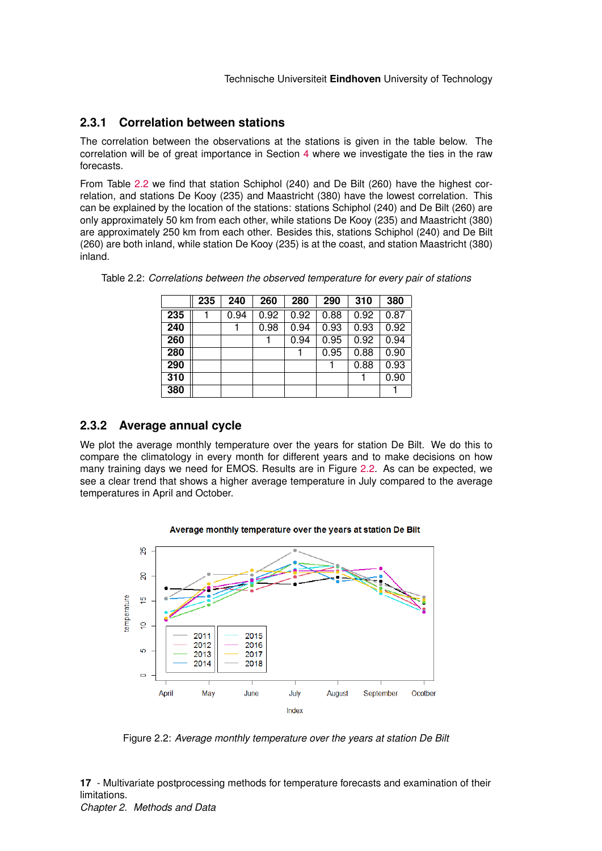## <span id="page-17-0"></span>**2.3.1 Correlation between stations**

The correlation between the observations at the stations is given in the table below. The correlation will be of great importance in Section [4](#page-30-0) where we investigate the ties in the raw forecasts.

From Table [2.2](#page-17-2) we find that station Schiphol (240) and De Bilt (260) have the highest correlation, and stations De Kooy (235) and Maastricht (380) have the lowest correlation. This can be explained by the location of the stations: stations Schiphol (240) and De Bilt (260) are only approximately 50 km from each other, while stations De Kooy (235) and Maastricht (380) are approximately 250 km from each other. Besides this, stations Schiphol (240) and De Bilt (260) are both inland, while station De Kooy (235) is at the coast, and station Maastricht (380) inland.

|     | 235 | 240  | 260  | 280  | 290  | 310  | 380  |
|-----|-----|------|------|------|------|------|------|
| 235 |     | 0.94 | 0.92 | 0.92 | 0.88 | 0.92 | 0.87 |
| 240 |     |      | 0.98 | 0.94 | 0.93 | 0.93 | 0.92 |
| 260 |     |      |      | 0.94 | 0.95 | 0.92 | 0.94 |
| 280 |     |      |      |      | 0.95 | 0.88 | 0.90 |
| 290 |     |      |      |      |      | 0.88 | 0.93 |
| 310 |     |      |      |      |      |      | 0.90 |
| 380 |     |      |      |      |      |      |      |

<span id="page-17-2"></span>Table 2.2: *Correlations between the observed temperature for every pair of stations*

## <span id="page-17-1"></span>**2.3.2 Average annual cycle**

We plot the average monthly temperature over the years for station De Bilt. We do this to compare the climatology in every month for different years and to make decisions on how many training days we need for EMOS. Results are in Figure [2.2.](#page-17-3) As can be expected, we see a clear trend that shows a higher average temperature in July compared to the average temperatures in April and October.

<span id="page-17-3"></span>

Average monthly temperature over the years at station De Bilt

Figure 2.2: *Average monthly temperature over the years at station De Bilt*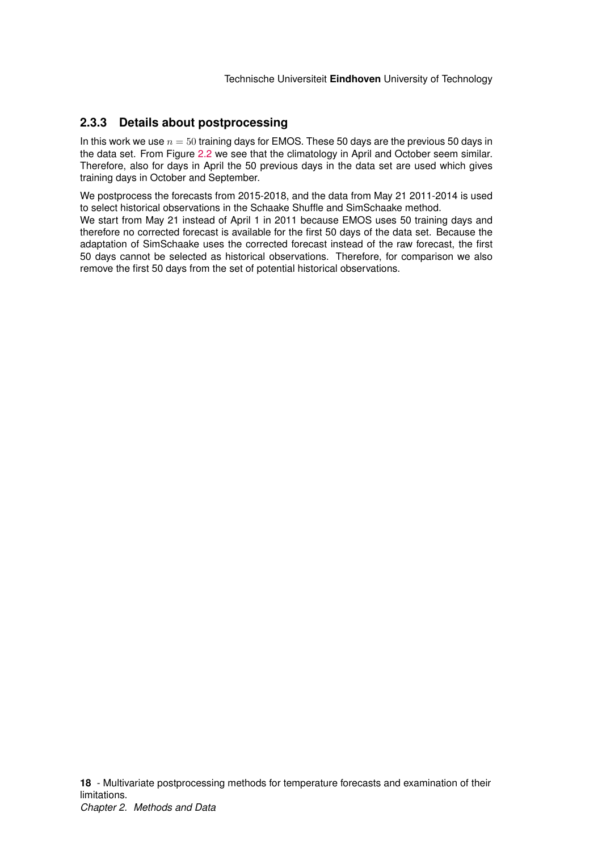## <span id="page-18-0"></span>**2.3.3 Details about postprocessing**

In this work we use  $n = 50$  training days for EMOS. These 50 days are the previous 50 days in the data set. From Figure [2.2](#page-17-3) we see that the climatology in April and October seem similar. Therefore, also for days in April the 50 previous days in the data set are used which gives training days in October and September.

We postprocess the forecasts from 2015-2018, and the data from May 21 2011-2014 is used to select historical observations in the Schaake Shuffle and SimSchaake method.

We start from May 21 instead of April 1 in 2011 because EMOS uses 50 training days and therefore no corrected forecast is available for the first 50 days of the data set. Because the adaptation of SimSchaake uses the corrected forecast instead of the raw forecast, the first 50 days cannot be selected as historical observations. Therefore, for comparison we also remove the first 50 days from the set of potential historical observations.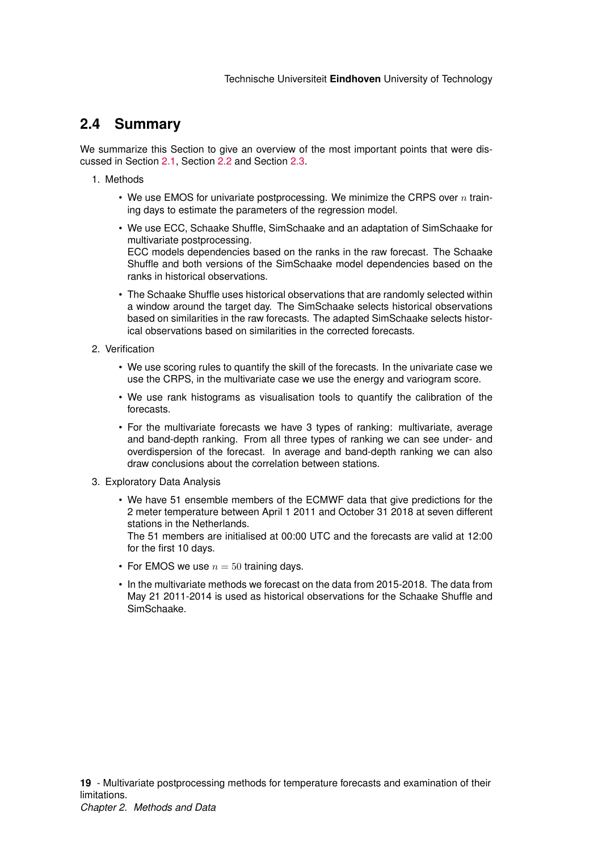## <span id="page-19-0"></span>**2.4 Summary**

We summarize this Section to give an overview of the most important points that were discussed in Section [2.1,](#page-8-1) Section [2.2](#page-12-0) and Section [2.3.](#page-16-0)

- 1. Methods
	- We use EMOS for univariate postprocessing. We minimize the CRPS over  $n$  training days to estimate the parameters of the regression model.
	- We use ECC, Schaake Shuffle, SimSchaake and an adaptation of SimSchaake for multivariate postprocessing. ECC models dependencies based on the ranks in the raw forecast. The Schaake Shuffle and both versions of the SimSchaake model dependencies based on the ranks in historical observations.
	- The Schaake Shuffle uses historical observations that are randomly selected within a window around the target day. The SimSchaake selects historical observations based on similarities in the raw forecasts. The adapted SimSchaake selects historical observations based on similarities in the corrected forecasts.
- 2. Verification
	- We use scoring rules to quantify the skill of the forecasts. In the univariate case we use the CRPS, in the multivariate case we use the energy and variogram score.
	- We use rank histograms as visualisation tools to quantify the calibration of the forecasts.
	- For the multivariate forecasts we have 3 types of ranking: multivariate, average and band-depth ranking. From all three types of ranking we can see under- and overdispersion of the forecast. In average and band-depth ranking we can also draw conclusions about the correlation between stations.
- 3. Exploratory Data Analysis
	- We have 51 ensemble members of the ECMWF data that give predictions for the 2 meter temperature between April 1 2011 and October 31 2018 at seven different stations in the Netherlands.
		- The 51 members are initialised at 00:00 UTC and the forecasts are valid at 12:00 for the first 10 days.
	- For EMOS we use  $n = 50$  training days.
	- In the multivariate methods we forecast on the data from 2015-2018. The data from May 21 2011-2014 is used as historical observations for the Schaake Shuffle and SimSchaake.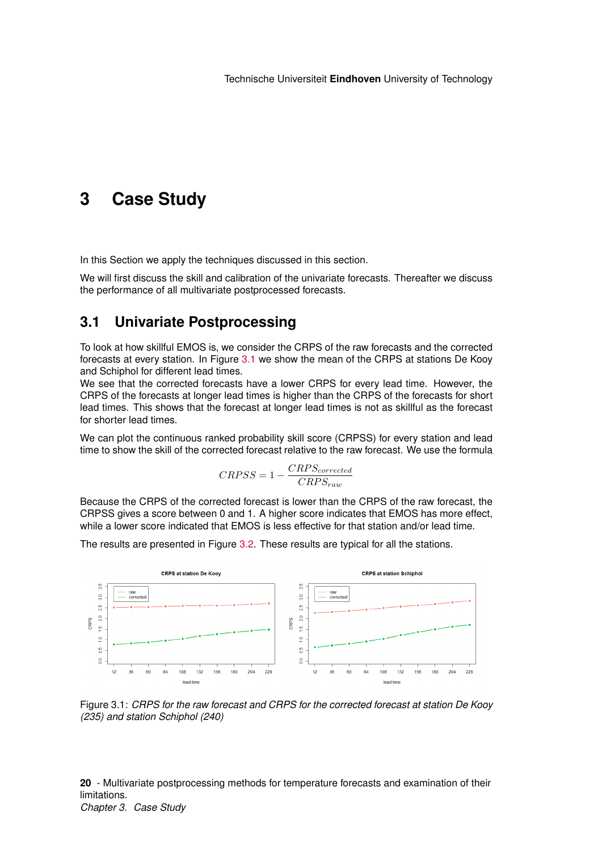# <span id="page-20-0"></span>**3 Case Study**

In this Section we apply the techniques discussed in this section.

We will first discuss the skill and calibration of the univariate forecasts. Thereafter we discuss the performance of all multivariate postprocessed forecasts.

## <span id="page-20-1"></span>**3.1 Univariate Postprocessing**

To look at how skillful EMOS is, we consider the CRPS of the raw forecasts and the corrected forecasts at every station. In Figure [3.1](#page-20-2) we show the mean of the CRPS at stations De Kooy and Schiphol for different lead times.

We see that the corrected forecasts have a lower CRPS for every lead time. However, the CRPS of the forecasts at longer lead times is higher than the CRPS of the forecasts for short lead times. This shows that the forecast at longer lead times is not as skillful as the forecast for shorter lead times.

We can plot the continuous ranked probability skill score (CRPSS) for every station and lead time to show the skill of the corrected forecast relative to the raw forecast. We use the formula

$$
CRPSS = 1 - \frac{CRPS_{corrected}}{CRPS_{raw}}
$$

Because the CRPS of the corrected forecast is lower than the CRPS of the raw forecast, the CRPSS gives a score between 0 and 1. A higher score indicates that EMOS has more effect, while a lower score indicated that EMOS is less effective for that station and/or lead time.

The results are presented in Figure [3.2.](#page-21-0) These results are typical for all the stations.

<span id="page-20-2"></span>

Figure 3.1: *CRPS for the raw forecast and CRPS for the corrected forecast at station De Kooy (235) and station Schiphol (240)*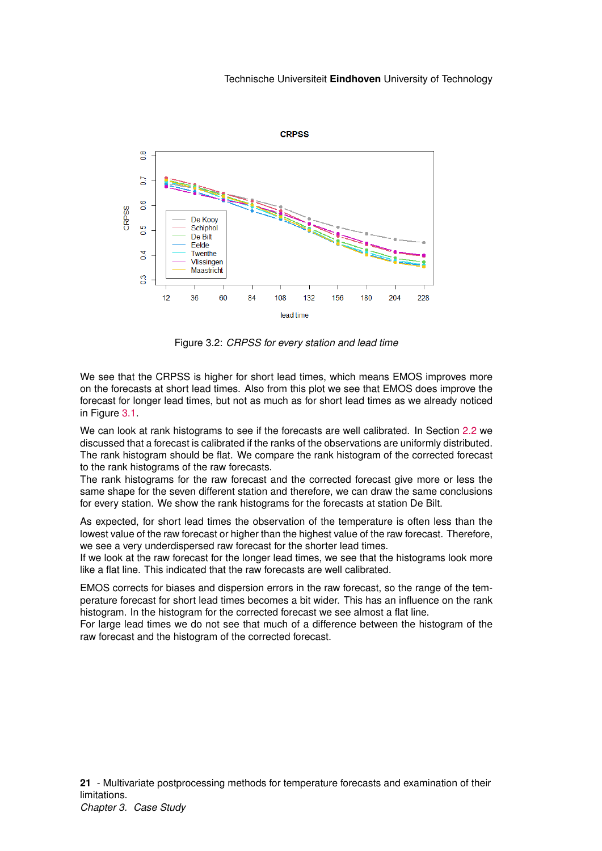<span id="page-21-0"></span>

Figure 3.2: *CRPSS for every station and lead time*

We see that the CRPSS is higher for short lead times, which means EMOS improves more on the forecasts at short lead times. Also from this plot we see that EMOS does improve the forecast for longer lead times, but not as much as for short lead times as we already noticed in Figure [3.1.](#page-20-2)

We can look at rank histograms to see if the forecasts are well calibrated. In Section [2.2](#page-12-0) we discussed that a forecast is calibrated if the ranks of the observations are uniformly distributed. The rank histogram should be flat. We compare the rank histogram of the corrected forecast to the rank histograms of the raw forecasts.

The rank histograms for the raw forecast and the corrected forecast give more or less the same shape for the seven different station and therefore, we can draw the same conclusions for every station. We show the rank histograms for the forecasts at station De Bilt.

As expected, for short lead times the observation of the temperature is often less than the lowest value of the raw forecast or higher than the highest value of the raw forecast. Therefore, we see a very underdispersed raw forecast for the shorter lead times.

If we look at the raw forecast for the longer lead times, we see that the histograms look more like a flat line. This indicated that the raw forecasts are well calibrated.

EMOS corrects for biases and dispersion errors in the raw forecast, so the range of the temperature forecast for short lead times becomes a bit wider. This has an influence on the rank histogram. In the histogram for the corrected forecast we see almost a flat line.

For large lead times we do not see that much of a difference between the histogram of the raw forecast and the histogram of the corrected forecast.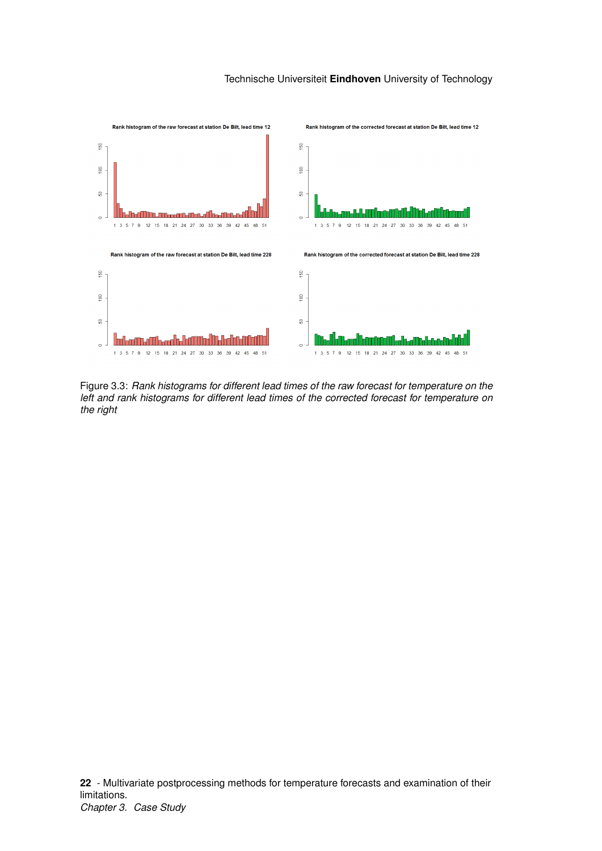

Figure 3.3: *Rank histograms for different lead times of the raw forecast for temperature on the left and rank histograms for different lead times of the corrected forecast for temperature on the right*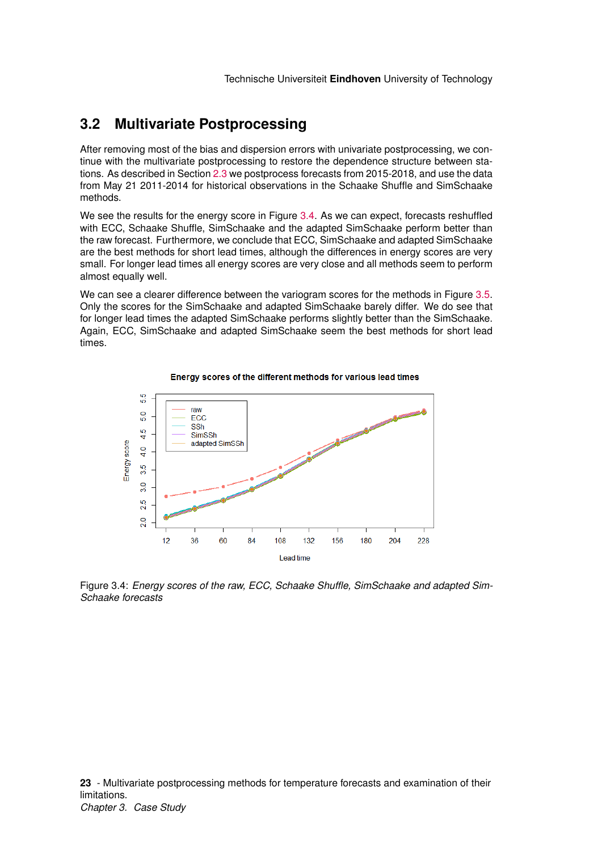## <span id="page-23-0"></span>**3.2 Multivariate Postprocessing**

After removing most of the bias and dispersion errors with univariate postprocessing, we continue with the multivariate postprocessing to restore the dependence structure between stations. As described in Section [2.3](#page-16-0) we postprocess forecasts from 2015-2018, and use the data from May 21 2011-2014 for historical observations in the Schaake Shuffle and SimSchaake methods.

We see the results for the energy score in Figure [3.4.](#page-23-1) As we can expect, forecasts reshuffled with ECC, Schaake Shuffle, SimSchaake and the adapted SimSchaake perform better than the raw forecast. Furthermore, we conclude that ECC, SimSchaake and adapted SimSchaake are the best methods for short lead times, although the differences in energy scores are very small. For longer lead times all energy scores are very close and all methods seem to perform almost equally well.

We can see a clearer difference between the variogram scores for the methods in Figure [3.5.](#page-24-1) Only the scores for the SimSchaake and adapted SimSchaake barely differ. We do see that for longer lead times the adapted SimSchaake performs slightly better than the SimSchaake. Again, ECC, SimSchaake and adapted SimSchaake seem the best methods for short lead times.

<span id="page-23-1"></span>

Energy scores of the different methods for various lead times

Figure 3.4: *Energy scores of the raw, ECC, Schaake Shuffle, SimSchaake and adapted Sim-Schaake forecasts*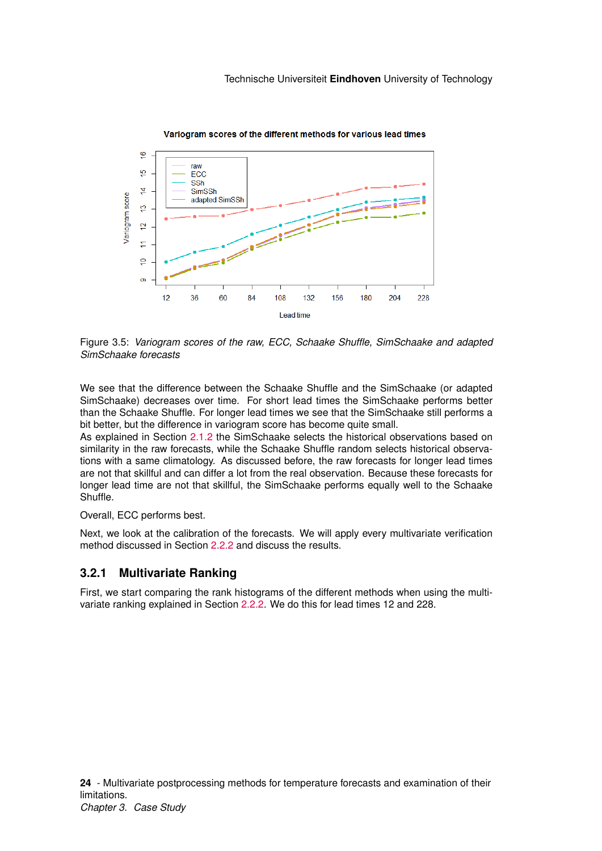<span id="page-24-1"></span>

Figure 3.5: *Variogram scores of the raw, ECC, Schaake Shuffle, SimSchaake and adapted SimSchaake forecasts*

We see that the difference between the Schaake Shuffle and the SimSchaake (or adapted SimSchaake) decreases over time. For short lead times the SimSchaake performs better than the Schaake Shuffle. For longer lead times we see that the SimSchaake still performs a bit better, but the difference in variogram score has become quite small.

As explained in Section [2.1.2](#page-10-1) the SimSchaake selects the historical observations based on similarity in the raw forecasts, while the Schaake Shuffle random selects historical observations with a same climatology. As discussed before, the raw forecasts for longer lead times are not that skillful and can differ a lot from the real observation. Because these forecasts for longer lead time are not that skillful, the SimSchaake performs equally well to the Schaake **Shuffle** 

Overall, ECC performs best.

Next, we look at the calibration of the forecasts. We will apply every multivariate verification method discussed in Section [2.2.2](#page-13-0) and discuss the results.

## <span id="page-24-0"></span>**3.2.1 Multivariate Ranking**

First, we start comparing the rank histograms of the different methods when using the multivariate ranking explained in Section [2.2.2.](#page-13-1) We do this for lead times 12 and 228.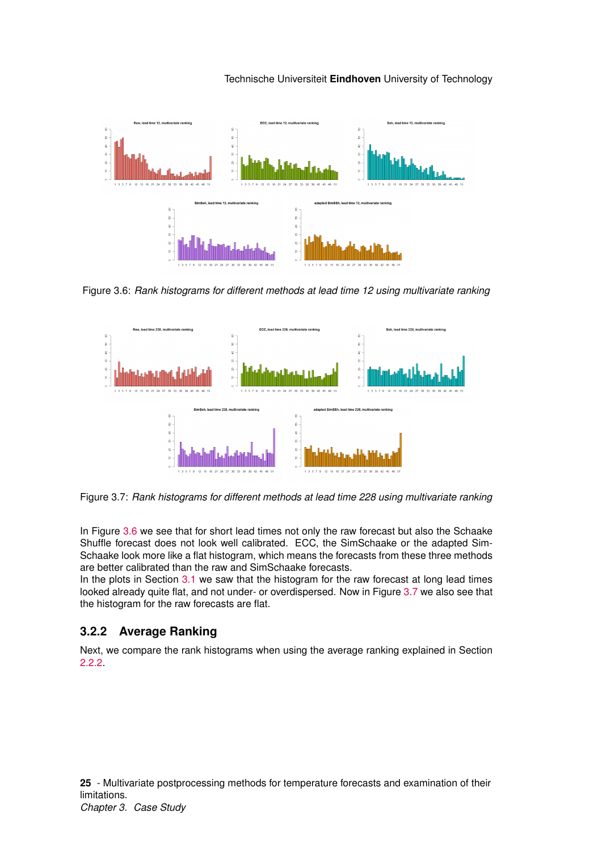

<span id="page-25-1"></span>

Figure 3.6: *Rank histograms for different methods at lead time 12 using multivariate ranking*

<span id="page-25-2"></span>

Figure 3.7: *Rank histograms for different methods at lead time 228 using multivariate ranking*

In Figure [3.6](#page-25-1) we see that for short lead times not only the raw forecast but also the Schaake Shuffle forecast does not look well calibrated. ECC, the SimSchaake or the adapted Sim-Schaake look more like a flat histogram, which means the forecasts from these three methods are better calibrated than the raw and SimSchaake forecasts.

In the plots in Section [3.1](#page-20-1) we saw that the histogram for the raw forecast at long lead times looked already quite flat, and not under- or overdispersed. Now in Figure [3.7](#page-25-2) we also see that the histogram for the raw forecasts are flat.

## <span id="page-25-0"></span>**3.2.2 Average Ranking**

Next, we compare the rank histograms when using the average ranking explained in Section [2.2.2.](#page-14-0)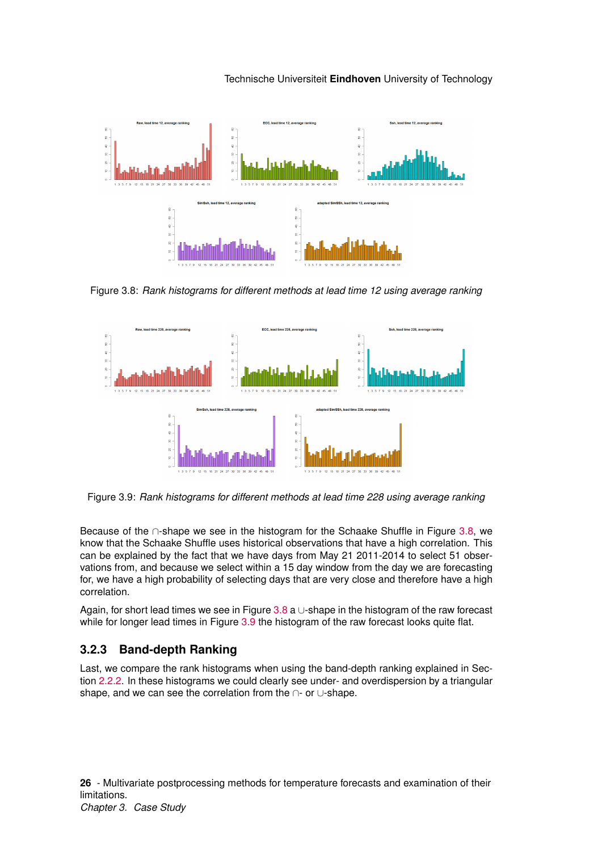<span id="page-26-1"></span>

Figure 3.8: *Rank histograms for different methods at lead time 12 using average ranking*

<span id="page-26-2"></span>

Figure 3.9: *Rank histograms for different methods at lead time 228 using average ranking*

Because of the ∩-shape we see in the histogram for the Schaake Shuffle in Figure [3.8,](#page-26-1) we know that the Schaake Shuffle uses historical observations that have a high correlation. This can be explained by the fact that we have days from May 21 2011-2014 to select 51 observations from, and because we select within a 15 day window from the day we are forecasting for, we have a high probability of selecting days that are very close and therefore have a high correlation.

Again, for short lead times we see in Figure [3.8](#page-26-1) a  $\cup$ -shape in the histogram of the raw forecast while for longer lead times in Figure [3.9](#page-26-2) the histogram of the raw forecast looks quite flat.

## <span id="page-26-0"></span>**3.2.3 Band-depth Ranking**

Last, we compare the rank histograms when using the band-depth ranking explained in Section [2.2.2.](#page-14-1) In these histograms we could clearly see under- and overdispersion by a triangular shape, and we can see the correlation from the ∩- or ∪-shape.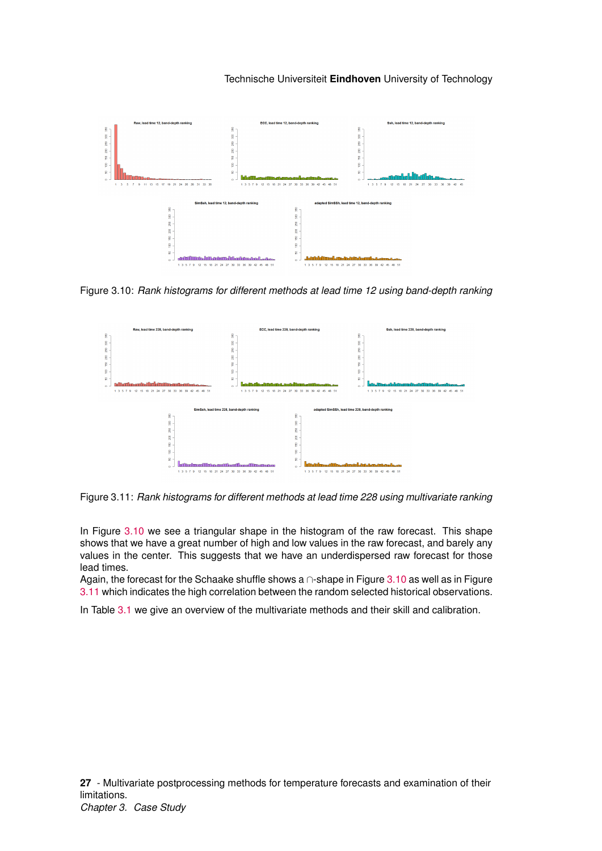<span id="page-27-0"></span>

Figure 3.10: *Rank histograms for different methods at lead time 12 using band-depth ranking*

<span id="page-27-1"></span>

Figure 3.11: *Rank histograms for different methods at lead time 228 using multivariate ranking*

In Figure [3.10](#page-27-0) we see a triangular shape in the histogram of the raw forecast. This shape shows that we have a great number of high and low values in the raw forecast, and barely any values in the center. This suggests that we have an underdispersed raw forecast for those lead times.

Again, the forecast for the Schaake shuffle shows a ∩-shape in Figure [3.10](#page-27-0) as well as in Figure [3.11](#page-27-1) which indicates the high correlation between the random selected historical observations.

In Table [3.1](#page-28-0) we give an overview of the multivariate methods and their skill and calibration.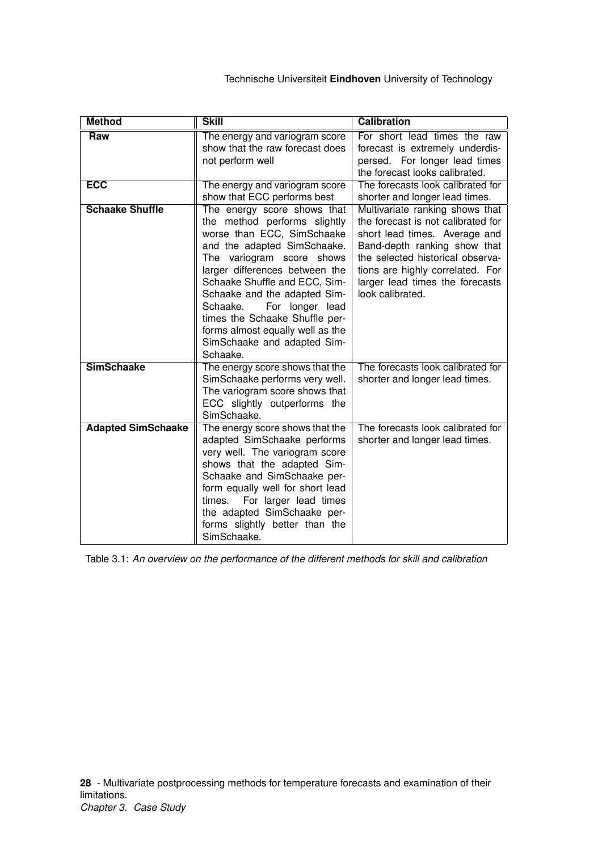<span id="page-28-0"></span>

| <b>Method</b>             | <b>Skill</b>                                                                                                                                                                                                                                                                                                                                                                                             | <b>Calibration</b>                                                                                                                                                                                                                                                    |
|---------------------------|----------------------------------------------------------------------------------------------------------------------------------------------------------------------------------------------------------------------------------------------------------------------------------------------------------------------------------------------------------------------------------------------------------|-----------------------------------------------------------------------------------------------------------------------------------------------------------------------------------------------------------------------------------------------------------------------|
| Raw                       | The energy and variogram score<br>show that the raw forecast does<br>not perform well                                                                                                                                                                                                                                                                                                                    | For short lead times the raw<br>forecast is extremely underdis-<br>persed. For longer lead times<br>the forecast looks calibrated.                                                                                                                                    |
| <b>ECC</b>                | The energy and variogram score<br>show that ECC performs best                                                                                                                                                                                                                                                                                                                                            | The forecasts look calibrated for<br>shorter and longer lead times.                                                                                                                                                                                                   |
| <b>Schaake Shuffle</b>    | The energy score shows that<br>the method performs slightly<br>worse than ECC, SimSchaake<br>and the adapted SimSchaake.<br>The variogram score shows<br>larger differences between the<br>Schaake Shuffle and ECC, Sim-<br>Schaake and the adapted Sim-<br>For longer lead<br>Schaake.<br>times the Schaake Shuffle per-<br>forms almost equally well as the<br>SimSchaake and adapted Sim-<br>Schaake. | Multivariate ranking shows that<br>the forecast is not calibrated for<br>short lead times. Average and<br>Band-depth ranking show that<br>the selected historical observa-<br>tions are highly correlated. For<br>larger lead times the forecasts<br>look calibrated. |
| <b>SimSchaake</b>         | The energy score shows that the<br>SimSchaake performs very well.<br>The variogram score shows that<br>ECC slightly outperforms the<br>SimSchaake.                                                                                                                                                                                                                                                       | The forecasts look calibrated for<br>shorter and longer lead times.                                                                                                                                                                                                   |
| <b>Adapted SimSchaake</b> | The energy score shows that the<br>adapted SimSchaake performs<br>very well. The variogram score<br>shows that the adapted Sim-<br>Schaake and SimSchaake per-<br>form equally well for short lead<br>times.<br>For larger lead times<br>the adapted SimSchaake per-<br>forms slightly better than the<br>SimSchaake.                                                                                    | The forecasts look calibrated for<br>shorter and longer lead times.                                                                                                                                                                                                   |

Table 3.1: *An overview on the performance of the different methods for skill and calibration*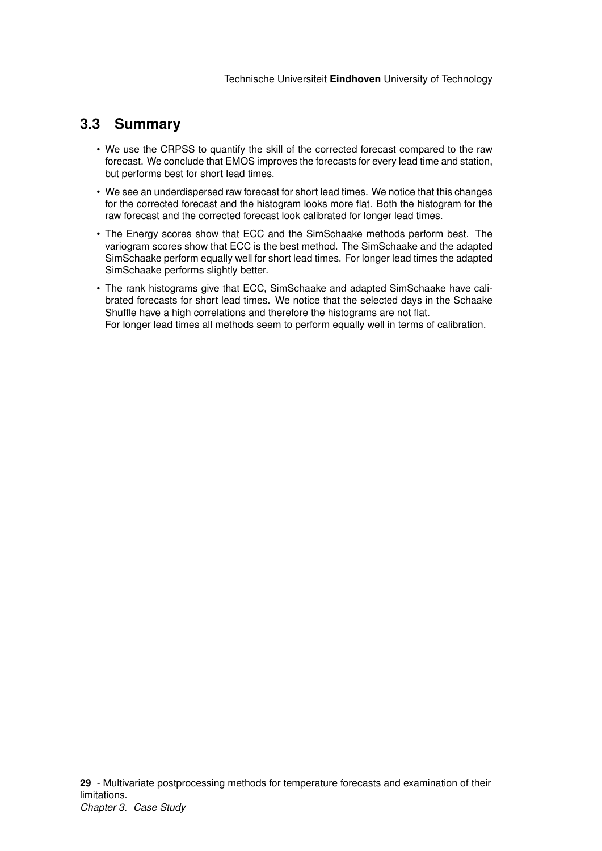## <span id="page-29-0"></span>**3.3 Summary**

- We use the CRPSS to quantify the skill of the corrected forecast compared to the raw forecast. We conclude that EMOS improves the forecasts for every lead time and station, but performs best for short lead times.
- We see an underdispersed raw forecast for short lead times. We notice that this changes for the corrected forecast and the histogram looks more flat. Both the histogram for the raw forecast and the corrected forecast look calibrated for longer lead times.
- The Energy scores show that ECC and the SimSchaake methods perform best. The variogram scores show that ECC is the best method. The SimSchaake and the adapted SimSchaake perform equally well for short lead times. For longer lead times the adapted SimSchaake performs slightly better.
- The rank histograms give that ECC, SimSchaake and adapted SimSchaake have calibrated forecasts for short lead times. We notice that the selected days in the Schaake Shuffle have a high correlations and therefore the histograms are not flat. For longer lead times all methods seem to perform equally well in terms of calibration.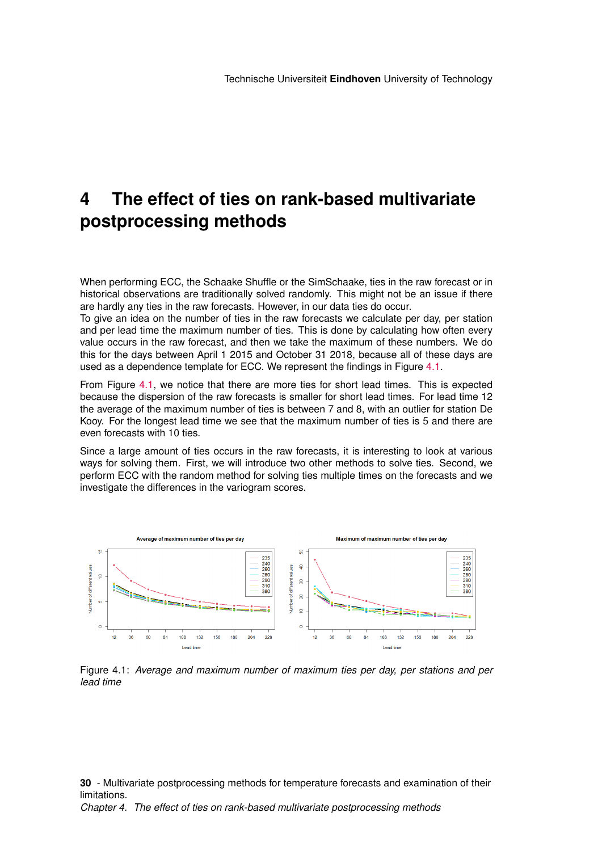# <span id="page-30-0"></span>**4 The effect of ties on rank-based multivariate postprocessing methods**

When performing ECC, the Schaake Shuffle or the SimSchaake, ties in the raw forecast or in historical observations are traditionally solved randomly. This might not be an issue if there are hardly any ties in the raw forecasts. However, in our data ties do occur.

To give an idea on the number of ties in the raw forecasts we calculate per day, per station and per lead time the maximum number of ties. This is done by calculating how often every value occurs in the raw forecast, and then we take the maximum of these numbers. We do this for the days between April 1 2015 and October 31 2018, because all of these days are used as a dependence template for ECC. We represent the findings in Figure [4.1.](#page-30-1)

From Figure [4.1,](#page-30-1) we notice that there are more ties for short lead times. This is expected because the dispersion of the raw forecasts is smaller for short lead times. For lead time 12 the average of the maximum number of ties is between 7 and 8, with an outlier for station De Kooy. For the longest lead time we see that the maximum number of ties is 5 and there are even forecasts with 10 ties.

Since a large amount of ties occurs in the raw forecasts, it is interesting to look at various ways for solving them. First, we will introduce two other methods to solve ties. Second, we perform ECC with the random method for solving ties multiple times on the forecasts and we investigate the differences in the variogram scores.

<span id="page-30-1"></span>

Figure 4.1: *Average and maximum number of maximum ties per day, per stations and per lead time*

**30** - Multivariate postprocessing methods for temperature forecasts and examination of their limitations.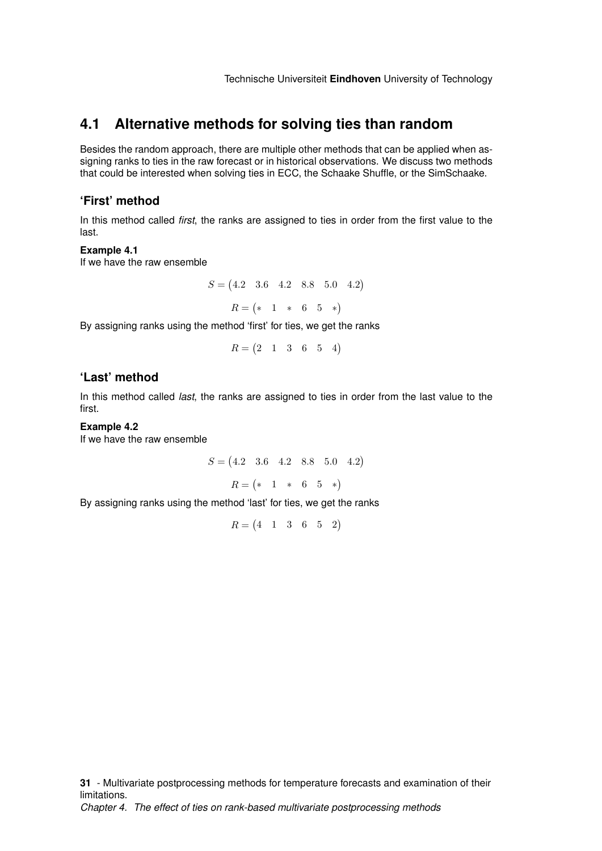## <span id="page-31-0"></span>**4.1 Alternative methods for solving ties than random**

Besides the random approach, there are multiple other methods that can be applied when assigning ranks to ties in the raw forecast or in historical observations. We discuss two methods that could be interested when solving ties in ECC, the Schaake Shuffle, or the SimSchaake.

### **'First' method**

In this method called *first*, the ranks are assigned to ties in order from the first value to the last.

#### **Example 4.1**

If we have the raw ensemble

$$
S = \begin{pmatrix} 4.2 & 3.6 & 4.2 & 8.8 & 5.0 & 4.2 \end{pmatrix}
$$

$$
R = \begin{pmatrix} * & 1 & * & 6 & 5 & * \end{pmatrix}
$$

By assigning ranks using the method 'first' for ties, we get the ranks

$$
R = \begin{pmatrix} 2 & 1 & 3 & 6 & 5 & 4 \end{pmatrix}
$$

### **'Last' method**

In this method called *last*, the ranks are assigned to ties in order from the last value to the first.

#### **Example 4.2**

If we have the raw ensemble

$$
S = (4.2 \quad 3.6 \quad 4.2 \quad 8.8 \quad 5.0 \quad 4.2)
$$

 $R = \begin{pmatrix} * & 1 & * & 6 & 5 & * \end{pmatrix}$ 

By assigning ranks using the method 'last' for ties, we get the ranks

 $R = \begin{pmatrix} 4 & 1 & 3 & 6 & 5 & 2 \end{pmatrix}$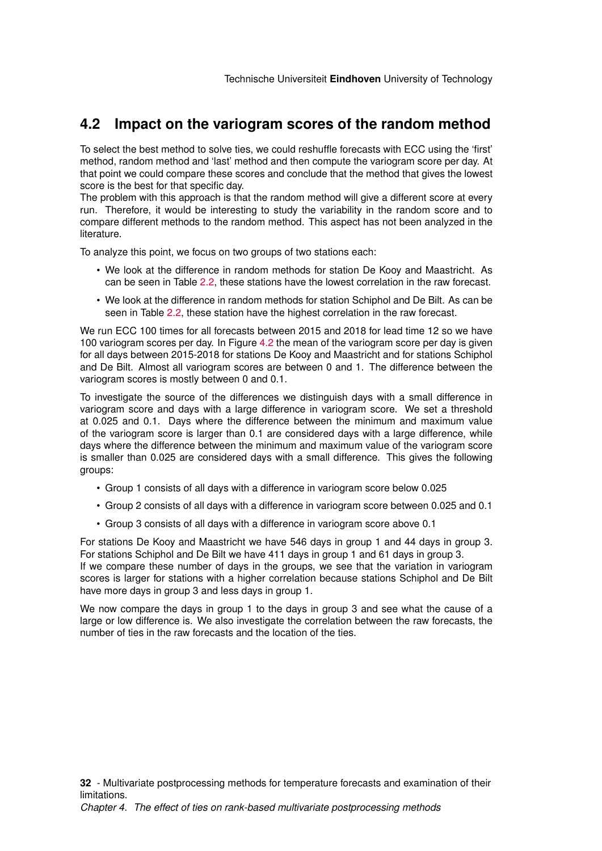## <span id="page-32-0"></span>**4.2 Impact on the variogram scores of the random method**

To select the best method to solve ties, we could reshuffle forecasts with ECC using the 'first' method, random method and 'last' method and then compute the variogram score per day. At that point we could compare these scores and conclude that the method that gives the lowest score is the best for that specific day.

The problem with this approach is that the random method will give a different score at every run. Therefore, it would be interesting to study the variability in the random score and to compare different methods to the random method. This aspect has not been analyzed in the literature.

To analyze this point, we focus on two groups of two stations each:

- We look at the difference in random methods for station De Kooy and Maastricht. As can be seen in Table [2.2,](#page-17-2) these stations have the lowest correlation in the raw forecast.
- We look at the difference in random methods for station Schiphol and De Bilt. As can be seen in Table [2.2,](#page-17-2) these station have the highest correlation in the raw forecast.

We run ECC 100 times for all forecasts between 2015 and 2018 for lead time 12 so we have 100 variogram scores per day. In Figure [4.2](#page-33-2) the mean of the variogram score per day is given for all days between 2015-2018 for stations De Kooy and Maastricht and for stations Schiphol and De Bilt. Almost all variogram scores are between 0 and 1. The difference between the variogram scores is mostly between 0 and 0.1.

To investigate the source of the differences we distinguish days with a small difference in variogram score and days with a large difference in variogram score. We set a threshold at 0.025 and 0.1. Days where the difference between the minimum and maximum value of the variogram score is larger than 0.1 are considered days with a large difference, while days where the difference between the minimum and maximum value of the variogram score is smaller than 0.025 are considered days with a small difference. This gives the following groups:

- Group 1 consists of all days with a difference in variogram score below 0.025
- Group 2 consists of all days with a difference in variogram score between 0.025 and 0.1
- Group 3 consists of all days with a difference in variogram score above 0.1

For stations De Kooy and Maastricht we have 546 days in group 1 and 44 days in group 3. For stations Schiphol and De Bilt we have 411 days in group 1 and 61 days in group 3. If we compare these number of days in the groups, we see that the variation in variogram scores is larger for stations with a higher correlation because stations Schiphol and De Bilt have more days in group 3 and less days in group 1.

We now compare the days in group 1 to the days in group 3 and see what the cause of a large or low difference is. We also investigate the correlation between the raw forecasts, the number of ties in the raw forecasts and the location of the ties.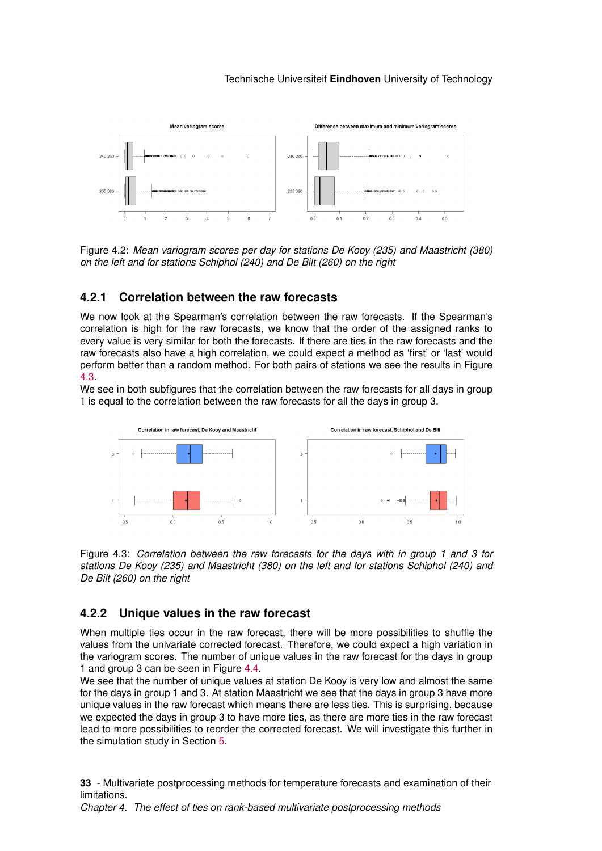<span id="page-33-2"></span>

Figure 4.2: *Mean variogram scores per day for stations De Kooy (235) and Maastricht (380) on the left and for stations Schiphol (240) and De Bilt (260) on the right*

## <span id="page-33-0"></span>**4.2.1 Correlation between the raw forecasts**

We now look at the Spearman's correlation between the raw forecasts. If the Spearman's correlation is high for the raw forecasts, we know that the order of the assigned ranks to every value is very similar for both the forecasts. If there are ties in the raw forecasts and the raw forecasts also have a high correlation, we could expect a method as 'first' or 'last' would perform better than a random method. For both pairs of stations we see the results in Figure [4.3.](#page-33-3)

We see in both subfigures that the correlation between the raw forecasts for all days in group 1 is equal to the correlation between the raw forecasts for all the days in group 3.

<span id="page-33-3"></span>

Figure 4.3: *Correlation between the raw forecasts for the days with in group 1 and 3 for stations De Kooy (235) and Maastricht (380) on the left and for stations Schiphol (240) and De Bilt (260) on the right*

## <span id="page-33-1"></span>**4.2.2 Unique values in the raw forecast**

When multiple ties occur in the raw forecast, there will be more possibilities to shuffle the values from the univariate corrected forecast. Therefore, we could expect a high variation in the variogram scores. The number of unique values in the raw forecast for the days in group 1 and group 3 can be seen in Figure [4.4.](#page-34-1)

We see that the number of unique values at station De Kooy is very low and almost the same for the days in group 1 and 3. At station Maastricht we see that the days in group 3 have more unique values in the raw forecast which means there are less ties. This is surprising, because we expected the days in group 3 to have more ties, as there are more ties in the raw forecast lead to more possibilities to reorder the corrected forecast. We will investigate this further in the simulation study in Section [5.](#page-36-0)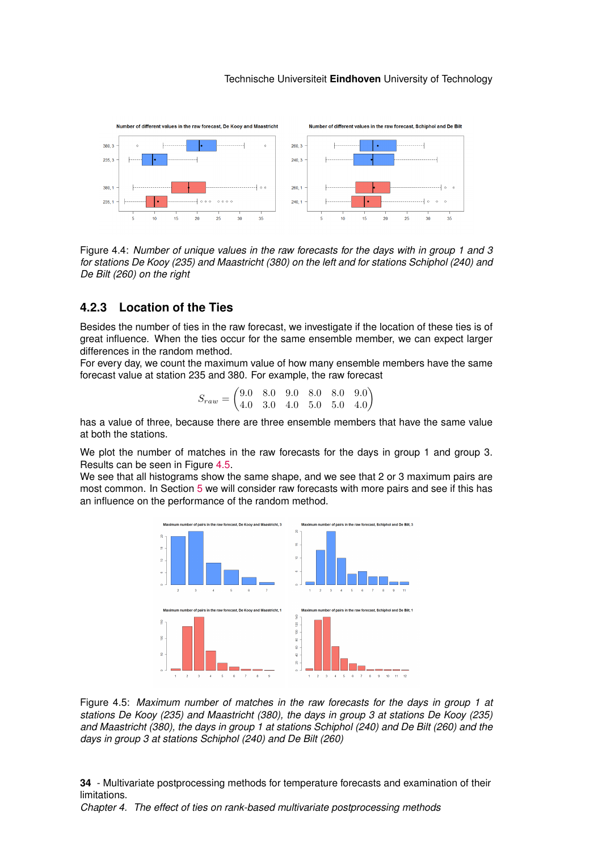<span id="page-34-1"></span>

Figure 4.4: *Number of unique values in the raw forecasts for the days with in group 1 and 3 for stations De Kooy (235) and Maastricht (380) on the left and for stations Schiphol (240) and De Bilt (260) on the right*

## <span id="page-34-0"></span>**4.2.3 Location of the Ties**

Besides the number of ties in the raw forecast, we investigate if the location of these ties is of great influence. When the ties occur for the same ensemble member, we can expect larger differences in the random method.

For every day, we count the maximum value of how many ensemble members have the same forecast value at station 235 and 380. For example, the raw forecast

| $S_{raw} = \begin{pmatrix} 9.0 & 8.0 & 9.0 & 8.0 & 8.0 & 9.0 \ 4.0 & 3.0 & 4.0 & 5.0 & 5.0 & 4.0 \end{pmatrix}$ |  |  |  |
|-----------------------------------------------------------------------------------------------------------------|--|--|--|

has a value of three, because there are three ensemble members that have the same value at both the stations.

We plot the number of matches in the raw forecasts for the days in group 1 and group 3. Results can be seen in Figure [4.5.](#page-34-2)

<span id="page-34-2"></span>We see that all histograms show the same shape, and we see that 2 or 3 maximum pairs are most common. In Section [5](#page-36-0) we will consider raw forecasts with more pairs and see if this has an influence on the performance of the random method.



Figure 4.5: *Maximum number of matches in the raw forecasts for the days in group 1 at stations De Kooy (235) and Maastricht (380), the days in group 3 at stations De Kooy (235) and Maastricht (380), the days in group 1 at stations Schiphol (240) and De Bilt (260) and the days in group 3 at stations Schiphol (240) and De Bilt (260)*

**34** - Multivariate postprocessing methods for temperature forecasts and examination of their limitations.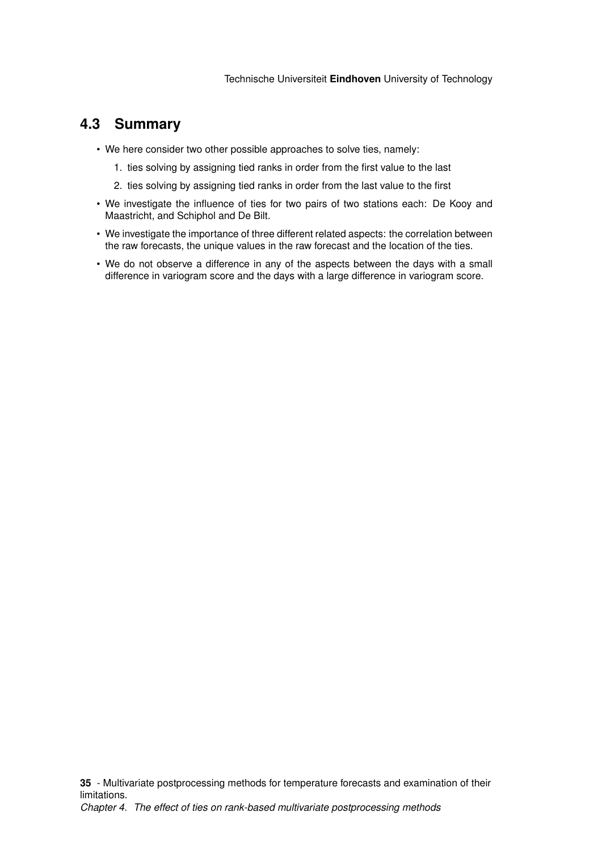## <span id="page-35-0"></span>**4.3 Summary**

- We here consider two other possible approaches to solve ties, namely:
	- 1. ties solving by assigning tied ranks in order from the first value to the last
	- 2. ties solving by assigning tied ranks in order from the last value to the first
- We investigate the influence of ties for two pairs of two stations each: De Kooy and Maastricht, and Schiphol and De Bilt.
- We investigate the importance of three different related aspects: the correlation between the raw forecasts, the unique values in the raw forecast and the location of the ties.
- We do not observe a difference in any of the aspects between the days with a small difference in variogram score and the days with a large difference in variogram score.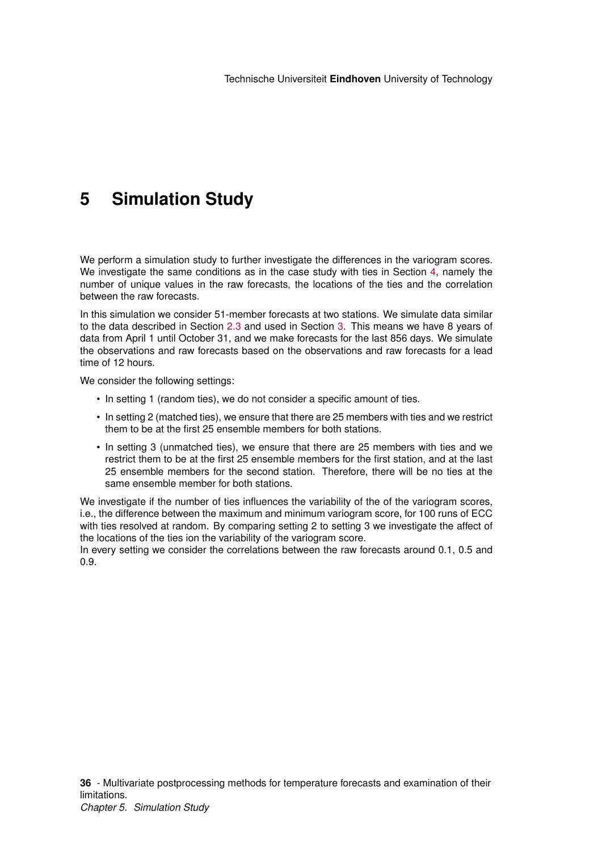# <span id="page-36-0"></span>**5 Simulation Study**

We perform a simulation study to further investigate the differences in the variogram scores. We investigate the same conditions as in the case study with ties in Section [4,](#page-30-0) namely the number of unique values in the raw forecasts, the locations of the ties and the correlation between the raw forecasts.

In this simulation we consider 51-member forecasts at two stations. We simulate data similar to the data described in Section [2.3](#page-16-0) and used in Section [3.](#page-20-0) This means we have 8 years of data from April 1 until October 31, and we make forecasts for the last 856 days. We simulate the observations and raw forecasts based on the observations and raw forecasts for a lead time of 12 hours.

We consider the following settings:

- In setting 1 (random ties), we do not consider a specific amount of ties.
- In setting 2 (matched ties), we ensure that there are 25 members with ties and we restrict them to be at the first 25 ensemble members for both stations.
- In setting 3 (unmatched ties), we ensure that there are 25 members with ties and we restrict them to be at the first 25 ensemble members for the first station, and at the last 25 ensemble members for the second station. Therefore, there will be no ties at the same ensemble member for both stations.

We investigate if the number of ties influences the variability of the of the variogram scores, i.e., the difference between the maximum and minimum variogram score, for 100 runs of ECC with ties resolved at random. By comparing setting 2 to setting 3 we investigate the affect of the locations of the ties ion the variability of the variogram score.

In every setting we consider the correlations between the raw forecasts around 0.1, 0.5 and 0.9.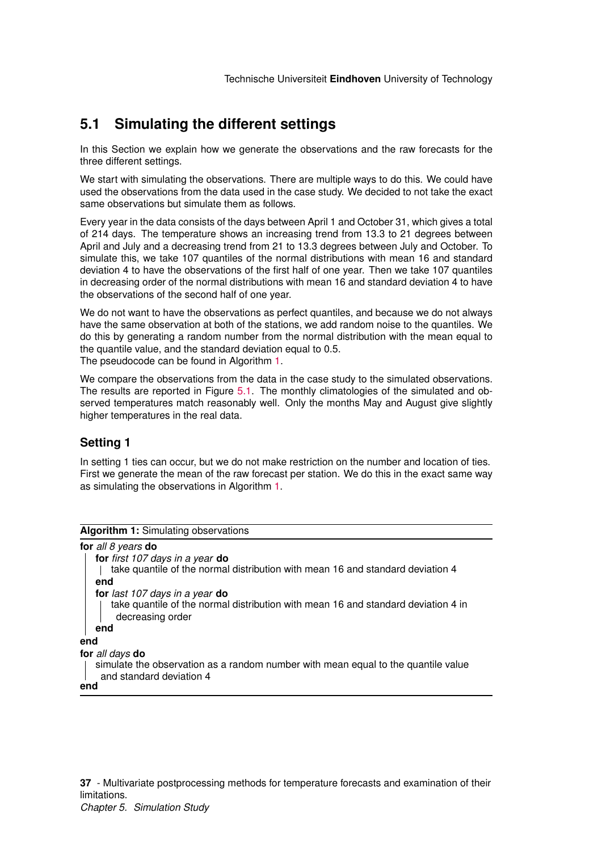## <span id="page-37-0"></span>**5.1 Simulating the different settings**

In this Section we explain how we generate the observations and the raw forecasts for the three different settings.

We start with simulating the observations. There are multiple ways to do this. We could have used the observations from the data used in the case study. We decided to not take the exact same observations but simulate them as follows.

Every year in the data consists of the days between April 1 and October 31, which gives a total of 214 days. The temperature shows an increasing trend from 13.3 to 21 degrees between April and July and a decreasing trend from 21 to 13.3 degrees between July and October. To simulate this, we take 107 quantiles of the normal distributions with mean 16 and standard deviation 4 to have the observations of the first half of one year. Then we take 107 quantiles in decreasing order of the normal distributions with mean 16 and standard deviation 4 to have the observations of the second half of one year.

We do not want to have the observations as perfect quantiles, and because we do not always have the same observation at both of the stations, we add random noise to the quantiles. We do this by generating a random number from the normal distribution with the mean equal to the quantile value, and the standard deviation equal to 0.5.

The pseudocode can be found in Algorithm [1.](#page-37-1)

We compare the observations from the data in the case study to the simulated observations. The results are reported in Figure [5.1.](#page-38-0) The monthly climatologies of the simulated and observed temperatures match reasonably well. Only the months May and August give slightly higher temperatures in the real data.

## **Setting 1**

In setting 1 ties can occur, but we do not make restriction on the number and location of ties. First we generate the mean of the raw forecast per station. We do this in the exact same way as simulating the observations in Algorithm [1.](#page-37-1)

<span id="page-37-1"></span>

| Algorithm 1: Simulating observations                                                                                                           |
|------------------------------------------------------------------------------------------------------------------------------------------------|
| for all 8 years do                                                                                                                             |
| for first 107 days in a year do<br>take quantile of the normal distribution with mean 16 and standard deviation 4<br>end                       |
| for last 107 days in a year do<br>take quantile of the normal distribution with mean 16 and standard deviation 4 in<br>decreasing order<br>end |
| end                                                                                                                                            |
| for all days do<br>simulate the observation as a random number with mean equal to the quantile value<br>and standard deviation 4<br>end        |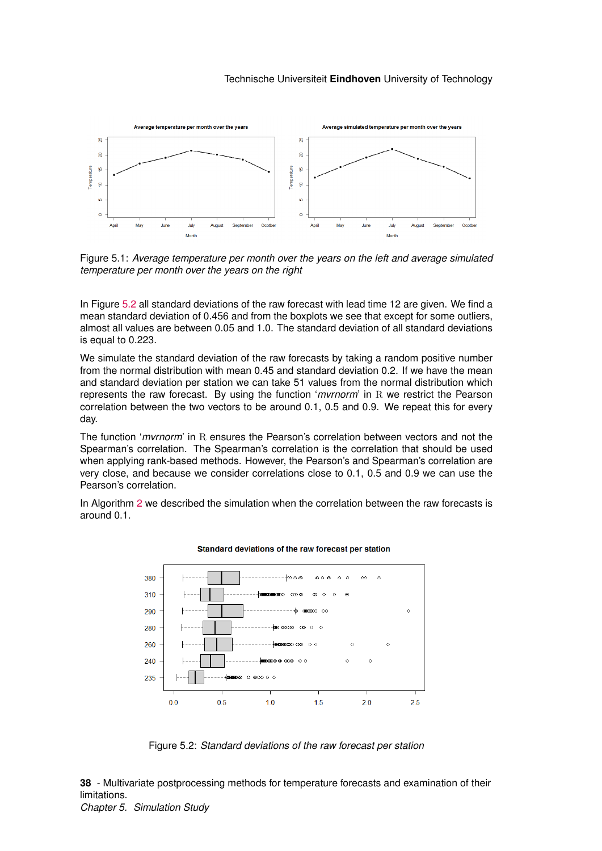<span id="page-38-0"></span>

Figure 5.1: *Average temperature per month over the years on the left and average simulated temperature per month over the years on the right*

In Figure [5.2](#page-38-1) all standard deviations of the raw forecast with lead time 12 are given. We find a mean standard deviation of 0.456 and from the boxplots we see that except for some outliers, almost all values are between 0.05 and 1.0. The standard deviation of all standard deviations is equal to 0.223.

We simulate the standard deviation of the raw forecasts by taking a random positive number from the normal distribution with mean 0.45 and standard deviation 0.2. If we have the mean and standard deviation per station we can take 51 values from the normal distribution which represents the raw forecast. By using the function '*mvrnorm*' in R we restrict the Pearson correlation between the two vectors to be around 0.1, 0.5 and 0.9. We repeat this for every day.

The function '*mvrnorm*' in R ensures the Pearson's correlation between vectors and not the Spearman's correlation. The Spearman's correlation is the correlation that should be used when applying rank-based methods. However, the Pearson's and Spearman's correlation are very close, and because we consider correlations close to 0.1, 0.5 and 0.9 we can use the Pearson's correlation.

<span id="page-38-1"></span>In Algorithm [2](#page-39-0) we described the simulation when the correlation between the raw forecasts is around 0.1.



#### Standard deviations of the raw forecast per station

Figure 5.2: *Standard deviations of the raw forecast per station*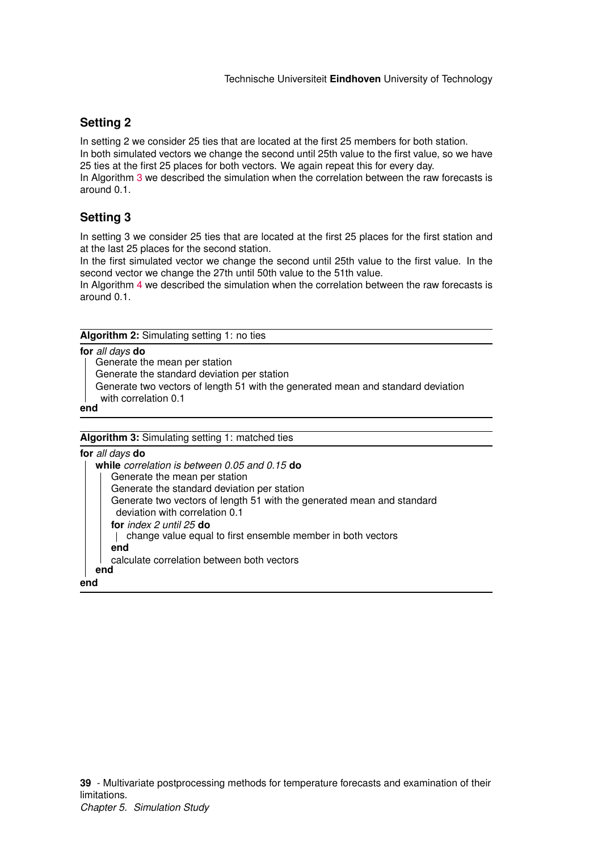## **Setting 2**

In setting 2 we consider 25 ties that are located at the first 25 members for both station.

In both simulated vectors we change the second until 25th value to the first value, so we have 25 ties at the first 25 places for both vectors. We again repeat this for every day.

In Algorithm [3](#page-39-1) we described the simulation when the correlation between the raw forecasts is around 0.1.

## **Setting 3**

In setting 3 we consider 25 ties that are located at the first 25 places for the first station and at the last 25 places for the second station.

In the first simulated vector we change the second until 25th value to the first value. In the second vector we change the 27th until 50th value to the 51th value.

In Algorithm [4](#page-40-0) we described the simulation when the correlation between the raw forecasts is around 0.1.

**Algorithm 2:** Simulating setting 1: no ties

### **for** *all days* **do**

Generate the mean per station

Generate the standard deviation per station

Generate two vectors of length 51 with the generated mean and standard deviation

with correlation 0.1

#### <span id="page-39-0"></span>**end**

**Algorithm 3:** Simulating setting 1: matched ties

<span id="page-39-1"></span>**for** *all days* **do while** *correlation is between 0.05 and 0.15* **do** Generate the mean per station Generate the standard deviation per station Generate two vectors of length 51 with the generated mean and standard deviation with correlation 0.1 **for** *index 2 until 25* **do** change value equal to first ensemble member in both vectors **end** calculate correlation between both vectors **end end**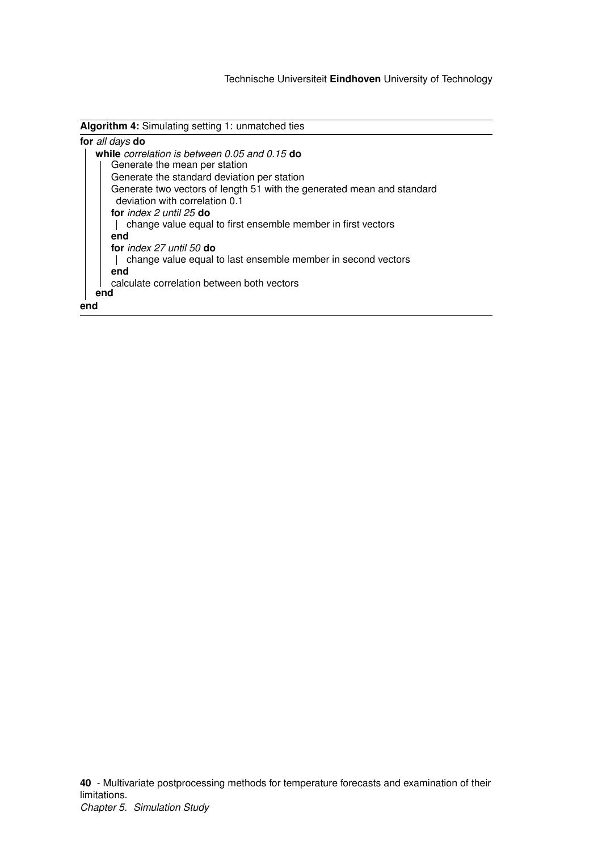**Algorithm 4:** Simulating setting 1: unmatched ties

<span id="page-40-0"></span>

|     | for all days do                                                                                          |
|-----|----------------------------------------------------------------------------------------------------------|
|     | while correlation is between 0.05 and 0.15 do                                                            |
|     | Generate the mean per station                                                                            |
|     | Generate the standard deviation per station                                                              |
|     | Generate two vectors of length 51 with the generated mean and standard<br>deviation with correlation 0.1 |
|     | for index $2$ until $25$ do                                                                              |
|     | change value equal to first ensemble member in first vectors                                             |
|     | end                                                                                                      |
|     | for index 27 until 50 $do$                                                                               |
|     | change value equal to last ensemble member in second vectors                                             |
|     | end                                                                                                      |
|     | calculate correlation between both vectors                                                               |
|     | end                                                                                                      |
| end |                                                                                                          |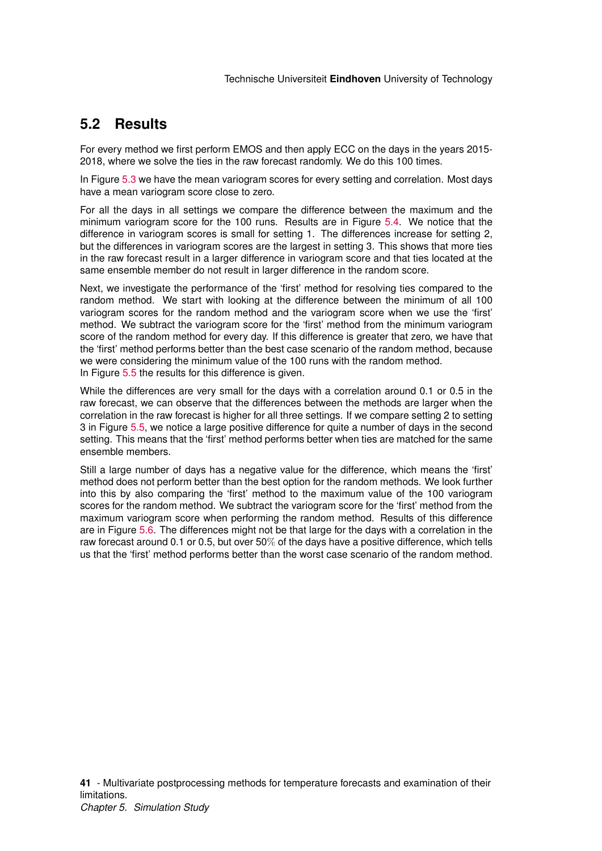## <span id="page-41-0"></span>**5.2 Results**

For every method we first perform EMOS and then apply ECC on the days in the years 2015- 2018, where we solve the ties in the raw forecast randomly. We do this 100 times.

In Figure [5.3](#page-42-0) we have the mean variogram scores for every setting and correlation. Most days have a mean variogram score close to zero.

For all the days in all settings we compare the difference between the maximum and the minimum variogram score for the 100 runs. Results are in Figure [5.4.](#page-42-1) We notice that the difference in variogram scores is small for setting 1. The differences increase for setting 2, but the differences in variogram scores are the largest in setting 3. This shows that more ties in the raw forecast result in a larger difference in variogram score and that ties located at the same ensemble member do not result in larger difference in the random score.

Next, we investigate the performance of the 'first' method for resolving ties compared to the random method. We start with looking at the difference between the minimum of all 100 variogram scores for the random method and the variogram score when we use the 'first' method. We subtract the variogram score for the 'first' method from the minimum variogram score of the random method for every day. If this difference is greater that zero, we have that the 'first' method performs better than the best case scenario of the random method, because we were considering the minimum value of the 100 runs with the random method. In Figure [5.5](#page-43-0) the results for this difference is given.

While the differences are very small for the days with a correlation around 0.1 or 0.5 in the raw forecast, we can observe that the differences between the methods are larger when the correlation in the raw forecast is higher for all three settings. If we compare setting 2 to setting 3 in Figure [5.5,](#page-43-0) we notice a large positive difference for quite a number of days in the second setting. This means that the 'first' method performs better when ties are matched for the same ensemble members.

Still a large number of days has a negative value for the difference, which means the 'first' method does not perform better than the best option for the random methods. We look further into this by also comparing the 'first' method to the maximum value of the 100 variogram scores for the random method. We subtract the variogram score for the 'first' method from the maximum variogram score when performing the random method. Results of this difference are in Figure [5.6.](#page-43-1) The differences might not be that large for the days with a correlation in the raw forecast around 0.1 or 0.5, but over 50% of the days have a positive difference, which tells us that the 'first' method performs better than the worst case scenario of the random method.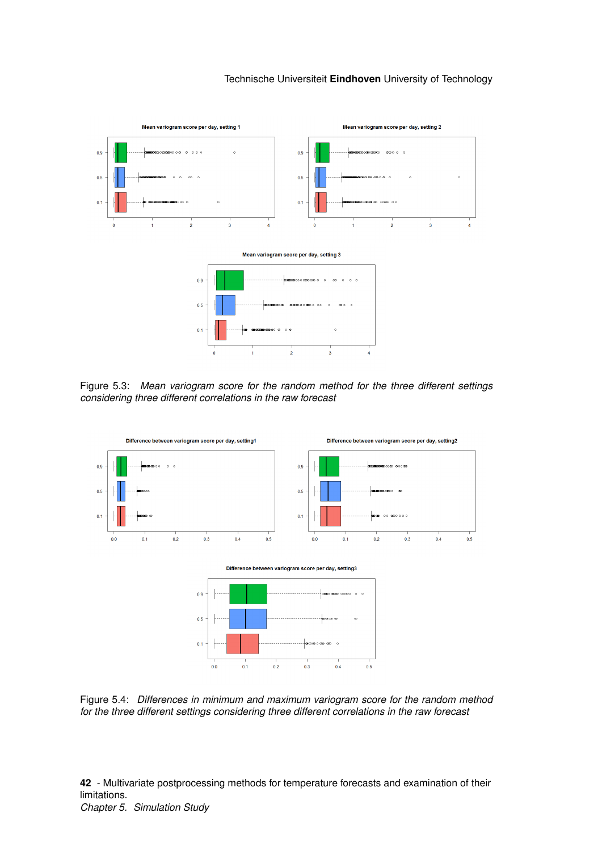<span id="page-42-0"></span>

Figure 5.3: *Mean variogram score for the random method for the three different settings considering three different correlations in the raw forecast*

<span id="page-42-1"></span>

Figure 5.4: *Differences in minimum and maximum variogram score for the random method for the three different settings considering three different correlations in the raw forecast*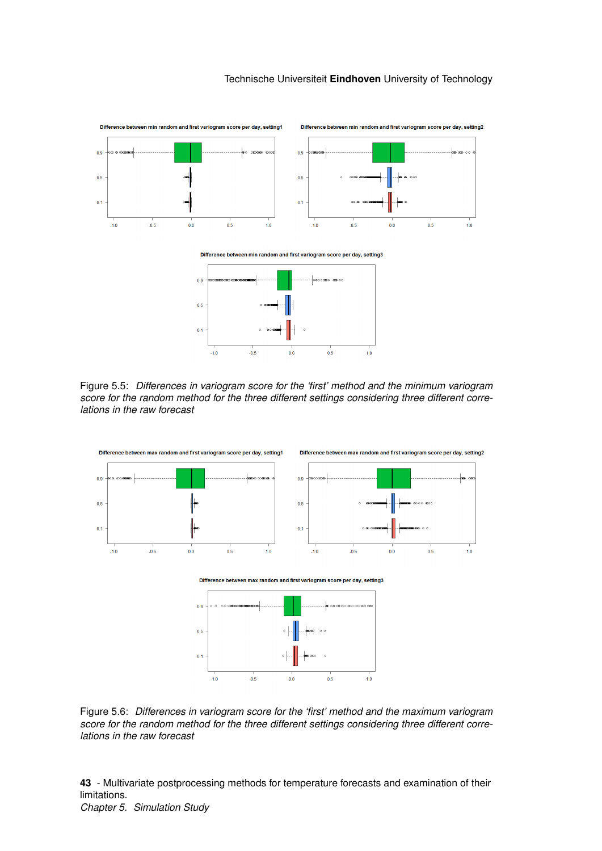<span id="page-43-0"></span>

Figure 5.5: *Differences in variogram score for the 'first' method and the minimum variogram score for the random method for the three different settings considering three different correlations in the raw forecast*

<span id="page-43-1"></span>

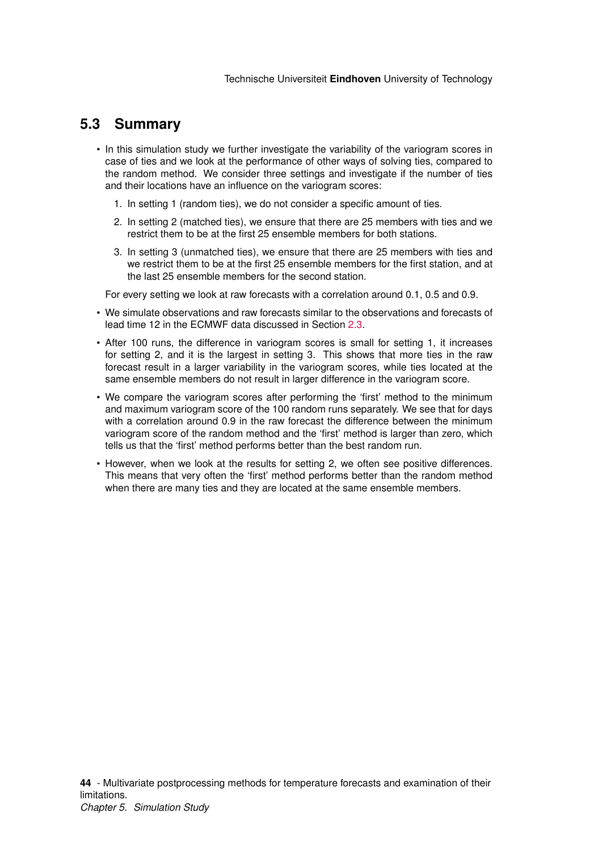## <span id="page-44-0"></span>**5.3 Summary**

- In this simulation study we further investigate the variability of the variogram scores in case of ties and we look at the performance of other ways of solving ties, compared to the random method. We consider three settings and investigate if the number of ties and their locations have an influence on the variogram scores:
	- 1. In setting 1 (random ties), we do not consider a specific amount of ties.
	- 2. In setting 2 (matched ties), we ensure that there are 25 members with ties and we restrict them to be at the first 25 ensemble members for both stations.
	- 3. In setting 3 (unmatched ties), we ensure that there are 25 members with ties and we restrict them to be at the first 25 ensemble members for the first station, and at the last 25 ensemble members for the second station.

For every setting we look at raw forecasts with a correlation around 0.1, 0.5 and 0.9.

- We simulate observations and raw forecasts similar to the observations and forecasts of lead time 12 in the ECMWF data discussed in Section [2.3.](#page-16-0)
- After 100 runs, the difference in variogram scores is small for setting 1, it increases for setting 2, and it is the largest in setting 3. This shows that more ties in the raw forecast result in a larger variability in the variogram scores, while ties located at the same ensemble members do not result in larger difference in the variogram score.
- We compare the variogram scores after performing the 'first' method to the minimum and maximum variogram score of the 100 random runs separately. We see that for days with a correlation around 0.9 in the raw forecast the difference between the minimum variogram score of the random method and the 'first' method is larger than zero, which tells us that the 'first' method performs better than the best random run.
- However, when we look at the results for setting 2, we often see positive differences. This means that very often the 'first' method performs better than the random method when there are many ties and they are located at the same ensemble members.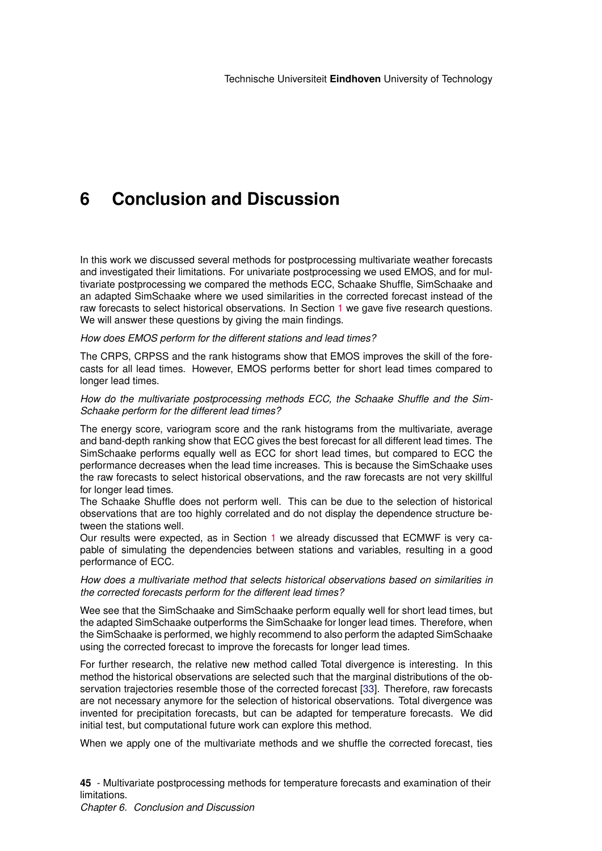# <span id="page-45-0"></span>**6 Conclusion and Discussion**

In this work we discussed several methods for postprocessing multivariate weather forecasts and investigated their limitations. For univariate postprocessing we used EMOS, and for multivariate postprocessing we compared the methods ECC, Schaake Shuffle, SimSchaake and an adapted SimSchaake where we used similarities in the corrected forecast instead of the raw forecasts to select historical observations. In Section [1](#page-4-0) we gave five research questions. We will answer these questions by giving the main findings.

#### *How does EMOS perform for the different stations and lead times?*

The CRPS, CRPSS and the rank histograms show that EMOS improves the skill of the forecasts for all lead times. However, EMOS performs better for short lead times compared to longer lead times.

#### *How do the multivariate postprocessing methods ECC, the Schaake Shuffle and the Sim-Schaake perform for the different lead times?*

The energy score, variogram score and the rank histograms from the multivariate, average and band-depth ranking show that ECC gives the best forecast for all different lead times. The SimSchaake performs equally well as ECC for short lead times, but compared to ECC the performance decreases when the lead time increases. This is because the SimSchaake uses the raw forecasts to select historical observations, and the raw forecasts are not very skillful for longer lead times.

The Schaake Shuffle does not perform well. This can be due to the selection of historical observations that are too highly correlated and do not display the dependence structure between the stations well.

Our results were expected, as in Section [1](#page-4-0) we already discussed that ECMWF is very capable of simulating the dependencies between stations and variables, resulting in a good performance of ECC.

*How does a multivariate method that selects historical observations based on similarities in the corrected forecasts perform for the different lead times?*

Wee see that the SimSchaake and SimSchaake perform equally well for short lead times, but the adapted SimSchaake outperforms the SimSchaake for longer lead times. Therefore, when the SimSchaake is performed, we highly recommend to also perform the adapted SimSchaake using the corrected forecast to improve the forecasts for longer lead times.

For further research, the relative new method called Total divergence is interesting. In this method the historical observations are selected such that the marginal distributions of the observation trajectories resemble those of the corrected forecast [\[33\]](#page-50-5). Therefore, raw forecasts are not necessary anymore for the selection of historical observations. Total divergence was invented for precipitation forecasts, but can be adapted for temperature forecasts. We did initial test, but computational future work can explore this method.

When we apply one of the multivariate methods and we shuffle the corrected forecast, ties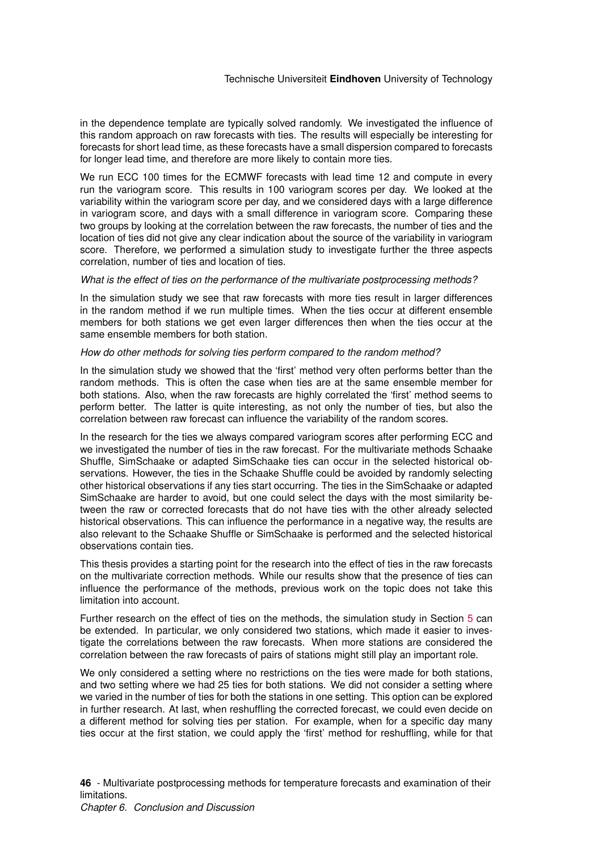in the dependence template are typically solved randomly. We investigated the influence of this random approach on raw forecasts with ties. The results will especially be interesting for forecasts for short lead time, as these forecasts have a small dispersion compared to forecasts for longer lead time, and therefore are more likely to contain more ties.

We run ECC 100 times for the ECMWF forecasts with lead time 12 and compute in every run the variogram score. This results in 100 variogram scores per day. We looked at the variability within the variogram score per day, and we considered days with a large difference in variogram score, and days with a small difference in variogram score. Comparing these two groups by looking at the correlation between the raw forecasts, the number of ties and the location of ties did not give any clear indication about the source of the variability in variogram score. Therefore, we performed a simulation study to investigate further the three aspects correlation, number of ties and location of ties.

#### *What is the effect of ties on the performance of the multivariate postprocessing methods?*

In the simulation study we see that raw forecasts with more ties result in larger differences in the random method if we run multiple times. When the ties occur at different ensemble members for both stations we get even larger differences then when the ties occur at the same ensemble members for both station.

#### *How do other methods for solving ties perform compared to the random method?*

In the simulation study we showed that the 'first' method very often performs better than the random methods. This is often the case when ties are at the same ensemble member for both stations. Also, when the raw forecasts are highly correlated the 'first' method seems to perform better. The latter is quite interesting, as not only the number of ties, but also the correlation between raw forecast can influence the variability of the random scores.

In the research for the ties we always compared variogram scores after performing ECC and we investigated the number of ties in the raw forecast. For the multivariate methods Schaake Shuffle, SimSchaake or adapted SimSchaake ties can occur in the selected historical observations. However, the ties in the Schaake Shuffle could be avoided by randomly selecting other historical observations if any ties start occurring. The ties in the SimSchaake or adapted SimSchaake are harder to avoid, but one could select the days with the most similarity between the raw or corrected forecasts that do not have ties with the other already selected historical observations. This can influence the performance in a negative way, the results are also relevant to the Schaake Shuffle or SimSchaake is performed and the selected historical observations contain ties.

This thesis provides a starting point for the research into the effect of ties in the raw forecasts on the multivariate correction methods. While our results show that the presence of ties can influence the performance of the methods, previous work on the topic does not take this limitation into account.

Further research on the effect of ties on the methods, the simulation study in Section [5](#page-36-0) can be extended. In particular, we only considered two stations, which made it easier to investigate the correlations between the raw forecasts. When more stations are considered the correlation between the raw forecasts of pairs of stations might still play an important role.

We only considered a setting where no restrictions on the ties were made for both stations, and two setting where we had 25 ties for both stations. We did not consider a setting where we varied in the number of ties for both the stations in one setting. This option can be explored in further research. At last, when reshuffling the corrected forecast, we could even decide on a different method for solving ties per station. For example, when for a specific day many ties occur at the first station, we could apply the 'first' method for reshuffling, while for that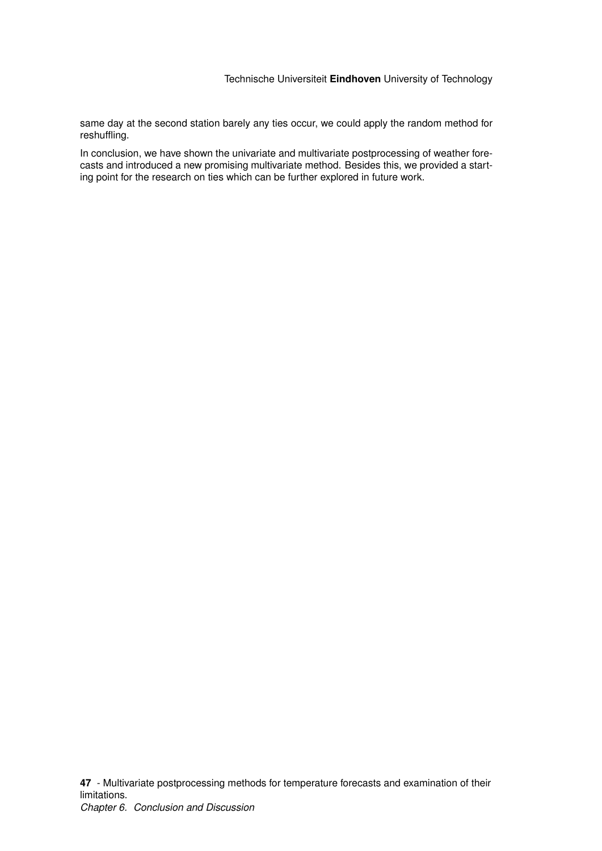same day at the second station barely any ties occur, we could apply the random method for reshuffling.

In conclusion, we have shown the univariate and multivariate postprocessing of weather forecasts and introduced a new promising multivariate method. Besides this, we provided a starting point for the research on ties which can be further explored in future work.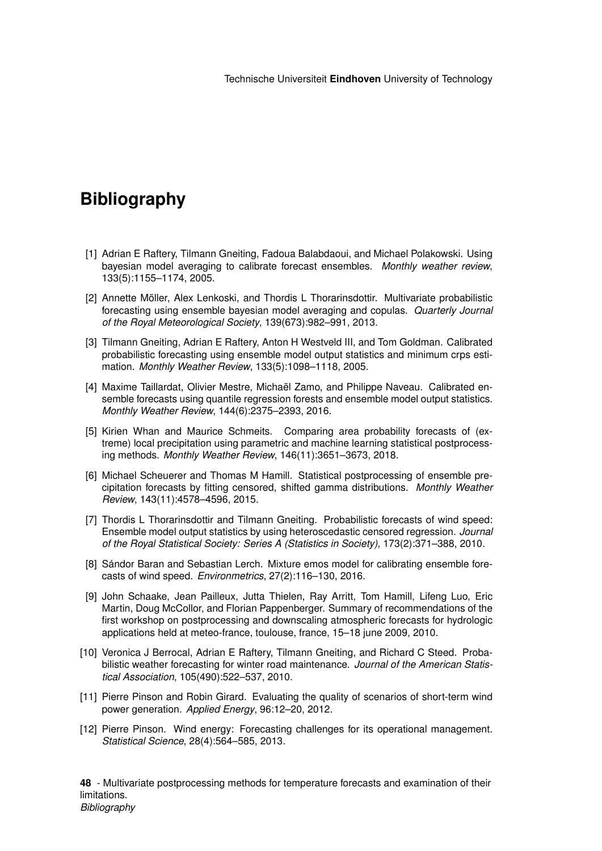# **Bibliography**

- <span id="page-48-0"></span>[1] Adrian E Raftery, Tilmann Gneiting, Fadoua Balabdaoui, and Michael Polakowski. Using bayesian model averaging to calibrate forecast ensembles. *Monthly weather review*, 133(5):1155–1174, 2005.
- <span id="page-48-1"></span>[2] Annette Möller, Alex Lenkoski, and Thordis L Thorarinsdottir. Multivariate probabilistic forecasting using ensemble bayesian model averaging and copulas. *Quarterly Journal of the Royal Meteorological Society*, 139(673):982–991, 2013.
- <span id="page-48-2"></span>[3] Tilmann Gneiting, Adrian E Raftery, Anton H Westveld III, and Tom Goldman. Calibrated probabilistic forecasting using ensemble model output statistics and minimum crps estimation. *Monthly Weather Review*, 133(5):1098–1118, 2005.
- <span id="page-48-3"></span>[4] Maxime Taillardat, Olivier Mestre, Michaël Zamo, and Philippe Naveau. Calibrated ensemble forecasts using quantile regression forests and ensemble model output statistics. *Monthly Weather Review*, 144(6):2375–2393, 2016.
- <span id="page-48-4"></span>[5] Kirien Whan and Maurice Schmeits. Comparing area probability forecasts of (extreme) local precipitation using parametric and machine learning statistical postprocessing methods. *Monthly Weather Review*, 146(11):3651–3673, 2018.
- <span id="page-48-5"></span>[6] Michael Scheuerer and Thomas M Hamill. Statistical postprocessing of ensemble precipitation forecasts by fitting censored, shifted gamma distributions. *Monthly Weather Review*, 143(11):4578–4596, 2015.
- <span id="page-48-6"></span>[7] Thordis L Thorarinsdottir and Tilmann Gneiting. Probabilistic forecasts of wind speed: Ensemble model output statistics by using heteroscedastic censored regression. *Journal of the Royal Statistical Society: Series A (Statistics in Society)*, 173(2):371–388, 2010.
- <span id="page-48-7"></span>[8] Sándor Baran and Sebastian Lerch. Mixture emos model for calibrating ensemble forecasts of wind speed. *Environmetrics*, 27(2):116–130, 2016.
- <span id="page-48-8"></span>[9] John Schaake, Jean Pailleux, Jutta Thielen, Ray Arritt, Tom Hamill, Lifeng Luo, Eric Martin, Doug McCollor, and Florian Pappenberger. Summary of recommendations of the first workshop on postprocessing and downscaling atmospheric forecasts for hydrologic applications held at meteo-france, toulouse, france, 15–18 june 2009, 2010.
- <span id="page-48-9"></span>[10] Veronica J Berrocal, Adrian E Raftery, Tilmann Gneiting, and Richard C Steed. Probabilistic weather forecasting for winter road maintenance. *Journal of the American Statistical Association*, 105(490):522–537, 2010.
- <span id="page-48-10"></span>[11] Pierre Pinson and Robin Girard. Evaluating the quality of scenarios of short-term wind power generation. *Applied Energy*, 96:12–20, 2012.
- <span id="page-48-11"></span>[12] Pierre Pinson. Wind energy: Forecasting challenges for its operational management. *Statistical Science*, 28(4):564–585, 2013.

**48** - Multivariate postprocessing methods for temperature forecasts and examination of their limitations. *Bibliography*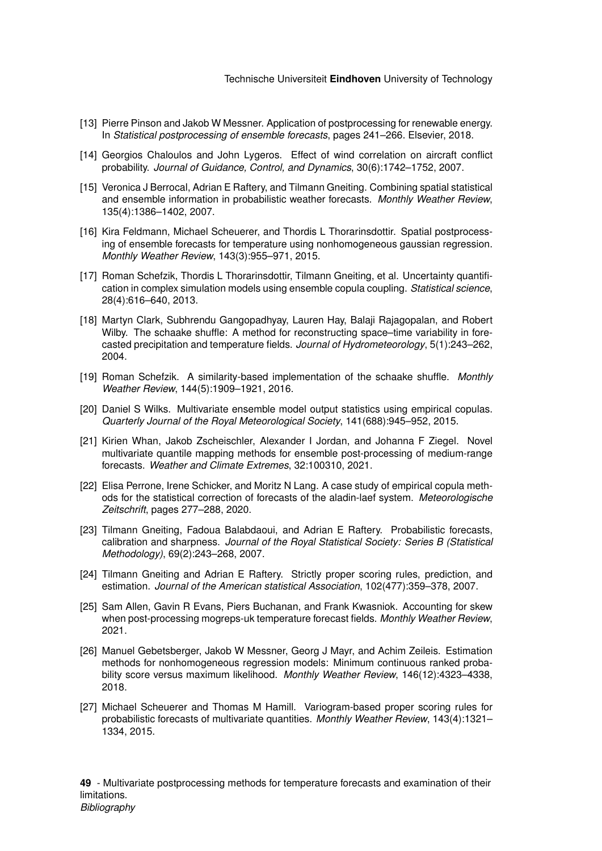- <span id="page-49-0"></span>[13] Pierre Pinson and Jakob W Messner. Application of postprocessing for renewable energy. In *Statistical postprocessing of ensemble forecasts*, pages 241–266. Elsevier, 2018.
- <span id="page-49-1"></span>[14] Georgios Chaloulos and John Lygeros. Effect of wind correlation on aircraft conflict probability. *Journal of Guidance, Control, and Dynamics*, 30(6):1742–1752, 2007.
- <span id="page-49-2"></span>[15] Veronica J Berrocal, Adrian E Raftery, and Tilmann Gneiting. Combining spatial statistical and ensemble information in probabilistic weather forecasts. *Monthly Weather Review*, 135(4):1386–1402, 2007.
- <span id="page-49-3"></span>[16] Kira Feldmann, Michael Scheuerer, and Thordis L Thorarinsdottir. Spatial postprocessing of ensemble forecasts for temperature using nonhomogeneous gaussian regression. *Monthly Weather Review*, 143(3):955–971, 2015.
- <span id="page-49-4"></span>[17] Roman Schefzik, Thordis L Thorarinsdottir, Tilmann Gneiting, et al. Uncertainty quantification in complex simulation models using ensemble copula coupling. *Statistical science*, 28(4):616–640, 2013.
- <span id="page-49-5"></span>[18] Martyn Clark, Subhrendu Gangopadhyay, Lauren Hay, Balaji Rajagopalan, and Robert Wilby. The schaake shuffle: A method for reconstructing space–time variability in forecasted precipitation and temperature fields. *Journal of Hydrometeorology*, 5(1):243–262, 2004.
- <span id="page-49-6"></span>[19] Roman Schefzik. A similarity-based implementation of the schaake shuffle. *Monthly Weather Review*, 144(5):1909–1921, 2016.
- <span id="page-49-7"></span>[20] Daniel S Wilks. Multivariate ensemble model output statistics using empirical copulas. *Quarterly Journal of the Royal Meteorological Society*, 141(688):945–952, 2015.
- <span id="page-49-8"></span>[21] Kirien Whan, Jakob Zscheischler, Alexander I Jordan, and Johanna F Ziegel. Novel multivariate quantile mapping methods for ensemble post-processing of medium-range forecasts. *Weather and Climate Extremes*, 32:100310, 2021.
- <span id="page-49-9"></span>[22] Elisa Perrone, Irene Schicker, and Moritz N Lang. A case study of empirical copula methods for the statistical correction of forecasts of the aladin-laef system. *Meteorologische Zeitschrift*, pages 277–288, 2020.
- <span id="page-49-10"></span>[23] Tilmann Gneiting, Fadoua Balabdaoui, and Adrian E Raftery. Probabilistic forecasts, calibration and sharpness. *Journal of the Royal Statistical Society: Series B (Statistical Methodology)*, 69(2):243–268, 2007.
- <span id="page-49-11"></span>[24] Tilmann Gneiting and Adrian E Raftery. Strictly proper scoring rules, prediction, and estimation. *Journal of the American statistical Association*, 102(477):359–378, 2007.
- <span id="page-49-12"></span>[25] Sam Allen, Gavin R Evans, Piers Buchanan, and Frank Kwasniok. Accounting for skew when post-processing mogreps-uk temperature forecast fields. *Monthly Weather Review*, 2021.
- <span id="page-49-13"></span>[26] Manuel Gebetsberger, Jakob W Messner, Georg J Mayr, and Achim Zeileis. Estimation methods for nonhomogeneous regression models: Minimum continuous ranked probability score versus maximum likelihood. *Monthly Weather Review*, 146(12):4323–4338, 2018.
- <span id="page-49-14"></span>[27] Michael Scheuerer and Thomas M Hamill. Variogram-based proper scoring rules for probabilistic forecasts of multivariate quantities. *Monthly Weather Review*, 143(4):1321– 1334, 2015.